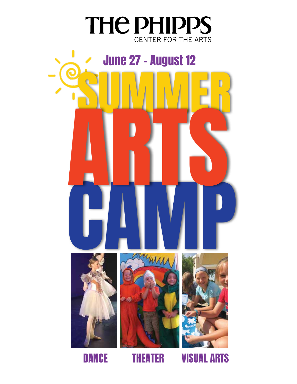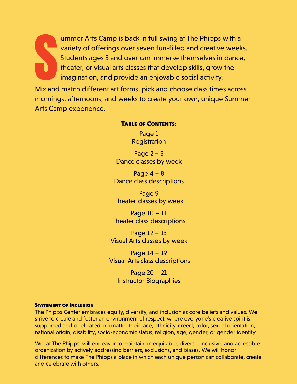S<br>Mix and ummer Arts Camp is back in full swing at The Phipps with a variety of offerings over seven fun-filled and creative weeks. Students ages 3 and over can immerse themselves in dance, theater, or visual arts classes that develop skills, grow the imagination, and provide an enjoyable social activity.

Mix and match different art forms, pick and choose class times across mornings, afternoons, and weeks to create your own, unique Summer Arts Camp experience.

#### Table of Contents:

Page 1 **Registration** 

Page  $2 - 3$ Dance classes by week

Page  $4 - 8$ Dance class descriptions

Page 9 Theater classes by week

Page 10 – 11 Theater class descriptions

Page 12 – 13 Visual Arts classes by week

Page 14 – 19 Visual Arts class descriptions

Page 20 – 21 Instructor Biographies

#### Statement of Inclusion

The Phipps Center embraces equity, diversity, and inclusion as core beliefs and values. We strive to create and foster an environment of respect, where everyone's creative spirit is supported and celebrated, no matter their race, ethnicity, creed, color, sexual orientation, national origin, disability, socio-economic status, religion, age, gender, or gender identity.

We, at The Phipps, will endeavor to maintain an equitable, diverse, inclusive, and accessible organization by actively addressing barriers, exclusions, and biases. We will honor differences to make The Phipps a place in which each unique person can collaborate, create, and celebrate with others.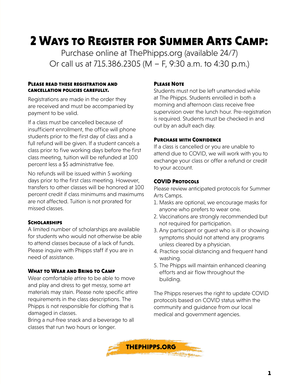# 2 Ways to Register for Summer Arts Camp:

Purchase online at ThePhipps.org (available 24/7) Or call us at 715.386.2305 (M – F, 9:30 a.m. to 4:30 p.m.)

#### Please read these registration and cancellation policies carefully.

Registrations are made in the order they are received and must be accompanied by payment to be valid.

If a class must be cancelled because of insufficient enrollment, the office will phone students prior to the first day of class and a full refund will be given. If a student cancels a class prior to five working days before the first class meeting, tuition will be refunded at 100 percent less a \$5 administrative fee.

No refunds will be issued within 5 working days prior to the first class meeting. However, transfers to other classes will be honored at 100 percent credit if class minimums and maximums are not affected. Tuition is not prorated for missed classes.

#### **SCHOLARSHIPS**

A limited number of scholarships are available for students who would not otherwise be able to attend classes because of a lack of funds. Please inquire with Phipps staff if you are in need of assistance.

#### What to Wear and Bring to Camp

Wear comfortable attire to be able to move and play and dress to get messy, some art materials may stain. Please note specific attire requirements in the class descriptions. The Phipps is not responsible for clothing that is damaged in classes.

Bring a nut-free snack and a beverage to all classes that run two hours or longer.

#### Please Note

Students must not be left unattended while at The Phipps. Students enrolled in both a morning and afternoon class receive free supervision over the lunch hour. Pre-registration is required. Students must be checked in and out by an adult each day.

#### Purchase with Confidence

If a class is cancelled or you are unable to attend due to COVID, we will work with you to exchange your class or offer a refund or credit to your account.

#### COVID Protocols

Please review anticipated protocols for Summer Arts Camps.

- 1. Masks are optional, we encourage masks for anyone who prefers to wear one.
- 2. Vaccinations are strongly recommended but not required for participation.
- 3. Any participant or guest who is ill or showing symptoms should not attend any programs unless cleared by a physician.
- 4. Practice social distancing and frequent hand washing.
- 5. The Phipps will maintain enhanced cleaning efforts and air flow throughout the building.

The Phipps reserves the right to update COVID protocols based on COVID status within the community and guidance from our local medical and government agencies.

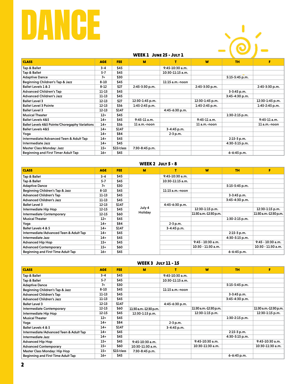# DANCE



#### WEEK 1 JUNE 25 - JULY 1

| <b>CLASS</b>                                   | <b>AGE</b> | FEE.       | м                | т                 | W                | <b>TH</b>          | F.               |
|------------------------------------------------|------------|------------|------------------|-------------------|------------------|--------------------|------------------|
| Tap & Ballet                                   | $3 - 4$    | \$45       |                  | $9:45-10:30$ a.m. |                  |                    |                  |
| Tap & Ballet                                   | $5 - 7$    | \$45       |                  | 10:30-11:15 a.m.  |                  |                    |                  |
| <b>Adaptive Dance</b>                          | $7+$       | \$30       |                  |                   |                  | 5:15-5:45 p.m.     |                  |
| Beginning Children's Tap & Jazz                | $8 - 10$   | \$45       |                  | 11:15 a.m.-noon   |                  |                    |                  |
| Ballet Levels 1 & 2                            | $8 - 12$   | \$27       | 2:45-3:30 p.m.   |                   | 2:45-3:30 p.m.   |                    | 2:45-3:30 p.m.   |
| <b>Advanced Children's Tap</b>                 | $11 - 13$  | \$45       |                  |                   |                  | 3-3:45 p.m.        |                  |
| <b>Advanced Children's Jazz</b>                | $11 - 13$  | \$45       |                  |                   |                  | $3:45 - 4:30$ p.m. |                  |
| <b>Ballet Level 3</b>                          | $12 - 13$  | \$27       | 12:30-1:45 p.m.  |                   | 12:30-1:45 p.m.  |                    | 12:30-1:45 p.m.  |
| <b>Ballet Level 3 Pointe</b>                   | $12 - 13$  | \$36       | $1:45-2:45$ p.m. |                   | $1:45-2:45$ p.m. |                    | $1:45-2:45$ p.m. |
| <b>Ballet Level 3</b>                          | $12 - 13$  | \$147      |                  | 4:45-6:30 p.m.    |                  |                    |                  |
| <b>Musical Theater</b>                         | $12+$      | \$45       |                  |                   |                  | $1:30-2:15$ p.m.   |                  |
| <b>Ballet Levels 4&amp;5</b>                   | $14+$      | \$45       | $9:45 - 11$ a.m. |                   | $9:45 - 11$ a.m. |                    | $9:45 - 11$ a.m. |
| Ballet Levels 4&5 Pointe/Choregaphy Variations | $14+$      | \$36       | 11 a.m.-noon     |                   | 11 a.m.-noon     |                    | 11 a.m.-noon     |
| <b>Ballet Levels 4&amp;5</b>                   | 14+        | \$147      |                  | 3-4:45 p.m.       |                  |                    |                  |
| Yoga                                           | $14+$      | \$84       |                  | $2 - 3 p.m.$      |                  |                    |                  |
| Intermediate/Advanced Teen & Adult Tap         | 14+        | \$45       |                  |                   |                  | 2:15-3 p.m.        |                  |
| Intermediate Jazz                              | 14+        | \$45       |                  |                   |                  | 4:30-5:15 p.m.     |                  |
| <b>Master Class Monday: Jazz</b>               | 15+        | \$15/class | 7:30-8:45 p.m.   |                   |                  |                    |                  |
| <b>Beginning and First Timer Adult Tap</b>     | 16+        | \$45       |                  |                   |                  | 6-6:45 p.m.        |                  |

#### WEEK 2 JULY 5 - 8

| <b>CLASS</b>                           | <b>AGE</b> | <b>FEE</b> | M       |                   | W                     | <b>TH</b>          | F                     |
|----------------------------------------|------------|------------|---------|-------------------|-----------------------|--------------------|-----------------------|
| Tap & Ballet                           | $3 - 4$    | \$45       |         | $9:45-10:30$ a.m. |                       |                    |                       |
| Tap & Ballet                           | $5 - 7$    | \$45       |         | 10:30-11:15 a.m.  |                       |                    |                       |
| <b>Adaptive Dance</b>                  | $7+$       | \$30       |         |                   |                       | 5:15-5:45 p.m.     |                       |
| Beginning Children's Tap & Jazz        | $8 - 10$   | \$45       |         | 11:15 a.m.-noon   |                       |                    |                       |
| <b>Advanced Children's Tap</b>         | $11 - 13$  | \$45       |         |                   |                       | $3-3:45$ p.m.      |                       |
| <b>Advanced Children's Jazz</b>        | $11 - 13$  | \$45       |         |                   |                       | $3:45 - 4:30$ p.m. |                       |
| <b>Ballet Level 3</b>                  | $12 - 13$  | \$147      |         | 4:45-6:30 p.m.    |                       |                    |                       |
| Intermediate Hip Hop                   | 12-15      | \$45       | July 4  |                   | 12:30-1:15 p.m.       |                    | $12:30-1:15$ p.m.     |
| <b>Intermediate Contemporary</b>       | 12-15      | \$60       | Holiday |                   | 11:30 a.m.-12:30 p.m. |                    | 11:30 a.m.-12:30 p.m. |
| <b>Musical Theater</b>                 | $12+$      | \$45       |         |                   |                       | $1:30-2:15$ p.m.   |                       |
| Yoga                                   | $14+$      | \$84       |         | $2 - 3 p.m.$      |                       |                    |                       |
| Ballet Levels 4 & 5                    | $14+$      | \$147      |         | 3-4:45 p.m.       |                       |                    |                       |
| Intermediate/Advanced Teen & Adult Tap | $14+$      | \$45       |         |                   |                       | $2:15-3$ p.m.      |                       |
| Intermediate Jazz                      | $14+$      | \$45       |         |                   |                       | 4:30-5:15 p.m.     |                       |
| <b>Advanced Hip Hop</b>                | $15+$      | \$45       |         |                   | $9:45 - 10:30$ a.m.   |                    | $9:45 - 10:30$ a.m.   |
| <b>Advanced Contemporary</b>           | $15+$      | \$60       |         |                   | 10:30 - 11:30 a.m.    |                    | 10:30 - 11:30 a.m.    |
| Beginning and First Time Adult Tap     | 16+        | \$45       |         |                   |                       | $6 - 6:45$ p.m.    |                       |

#### WEEK 3 July 11 - 15

| <b>CLASS</b>                           | <b>AGE</b> | <b>FEE</b> | M                     | т                 | W                     | <b>TH</b>        | F                     |
|----------------------------------------|------------|------------|-----------------------|-------------------|-----------------------|------------------|-----------------------|
| Tap & Ballet                           | $3 - 4$    | \$45       |                       | $9:45-10:30$ a.m. |                       |                  |                       |
| Tap & Ballet                           | $5 - 7$    | \$45       |                       | 10:30-11:15 a.m.  |                       |                  |                       |
| <b>Adaptive Dance</b>                  | $7+$       | \$30       |                       |                   |                       | 5:15-5:45 p.m.   |                       |
| Beginning Children's Tap & Jazz        | $8 - 10$   | \$45       |                       | 11:15 a.m.-noon   |                       |                  |                       |
| <b>Advanced Children's Tap</b>         | $11 - 13$  | \$45       |                       |                   |                       | $3-3:45$ p.m.    |                       |
| <b>Advanced Children's Jazz</b>        | $11 - 13$  | \$45       |                       |                   |                       | 3:45-4:30 p.m.   |                       |
| <b>Ballet Level 3</b>                  | $12 - 13$  | \$147      |                       | 4:45-6:30 p.m.    |                       |                  |                       |
| <b>Intermediate Contemporary</b>       | $12 - 15$  | \$60       | 11:30 a.m.-12:30 p.m. |                   | 11:30 a.m.-12:30 p.m. |                  | 11:30 a.m.-12:30 p.m. |
| Intermediate Hip Hop                   | $12 - 15$  | \$45       | 12:30-1:15 p.m.       |                   | 12:30-1:15 p.m.       |                  | 12:30-1:15 p.m.       |
| <b>Musical Theater</b>                 | $12+$      | \$45       |                       |                   |                       | $1:30-2:15$ p.m. |                       |
| Yoqa                                   | $14+$      | \$84       |                       | 2-3 p.m.          |                       |                  |                       |
| Ballet Levels 4 & 5                    | $14+$      | \$147      |                       | 3-4:45 p.m.       |                       |                  |                       |
| Intermediate/Advanced Teen & Adult Tap | $14+$      | \$45       |                       |                   |                       | $2:15-3 p.m.$    |                       |
| Intermediate Jazz                      | $14+$      | \$45       |                       |                   |                       | 4:30-5:15 p.m.   |                       |
| <b>Advanced Hip Hop</b>                | $15+$      | \$45       | $9:45-10:30$ a.m.     |                   | $9:45-10:30$ a.m.     |                  | 9:45-10:30 a.m.       |
| <b>Advanced Contemporary</b>           | $15+$      | \$60       | 10:30-11:30 a.m.      |                   | 10:30-11:30 a.m.      |                  | 10:30-11:30 a.m.      |
| Master Class Monday: Hip Hop           | $15+$      | \$15/class | 7:30-8:45 p.m.        |                   |                       |                  |                       |
| Beginning and First Time Adult Tap     | $16+$      | \$45       |                       |                   |                       | $6 - 6:45$ p.m.  |                       |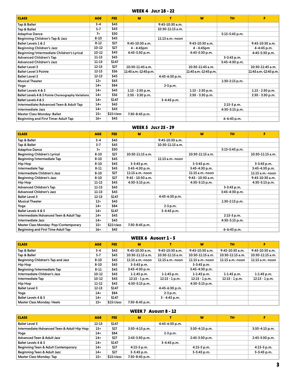#### WEEK 4 July 18 - 22

| <b>CLASS</b>                                       | <b>AGE</b> | <b>FEE</b> | M                     | т                 | W                     | <b>TH</b>        | F                     |
|----------------------------------------------------|------------|------------|-----------------------|-------------------|-----------------------|------------------|-----------------------|
| Tap & Ballet                                       | $3 - 4$    | \$45       |                       | $9:45-10:30$ a.m. |                       |                  |                       |
| Tap & Ballet                                       | $5 - 7$    | \$45       |                       | 10:30-11:15 a.m.  |                       |                  |                       |
| <b>Adaptive Dance</b>                              | $7+$       | \$30       |                       |                   |                       | $5:15-5:45$ p.m. |                       |
| Beginning Children's Tap & Jazz                    | $8 - 10$   | \$45       |                       | $11:15$ a.m.-noon |                       |                  |                       |
| Ballet Levels 1 & 2                                | $8 - 12$   | \$27       | $9:45-10:30$ a.m.     |                   | $9:45-10:30$ a.m.     |                  | $9:45-10:30$ a.m.     |
| <b>Beginning Children's Jazz</b>                   | $10-12$    | \$27       | 4 - 4:45pm            |                   | 4 - 4:45pm            |                  | 4-4:45 p.m.           |
| Beginning/Intermediate Children's Lyrical          | $10-12$    | \$45       | 4:45-5:30 p.m.        |                   | 4:45-5:30 p.m.        |                  | 4:45-5:30 p.m.        |
| <b>Advanced Children's Tap</b>                     | $11 - 13$  | \$45       |                       |                   |                       | 3-3:45 p.m.      |                       |
| <b>Advanced Children's Jazz</b>                    | $11 - 13$  | \$147      |                       |                   |                       | 3:45-4:30 p.m.   |                       |
| <b>Ballet Level 3</b>                              | $12 - 13$  | \$27       | $10:30-11:45$ a.m.    |                   | $10:30-11:45$ a.m.    |                  | 10:30-11:45 a.m.      |
| <b>Ballet Level 3 Pointe</b>                       | $12 - 13$  | \$36       | 11:45 a.m.-12:45 p.m. |                   | 11:45 a.m.-12:45 p.m. |                  | 11:45 a.m.-12:45 p.m. |
| <b>Ballet Level 3</b>                              | $12 - 13$  | \$45       |                       | 4:45-6:30 p.m.    |                       |                  |                       |
| <b>Musical Theater</b>                             | $12+$      | \$45       |                       |                   |                       | 1:30-2:15 p.m.   |                       |
| Yoga                                               | $14+$      | \$84       |                       | 2-3 p.m.          |                       |                  |                       |
| <b>Ballet Levels 4 &amp; 5</b>                     | $14+$      | \$45       | $1:15 - 2:30$ p.m.    |                   | $1:15 - 2:30$ p.m.    |                  | $1:15 - 2:30$ p.m.    |
| Ballet Levels 4 & 5 Pointe Choreography Variations | $14+$      | \$36       | 2:30 - 3:30 p.m.      |                   | 2:30 - 3:30 p.m.      |                  | 2:30 - 3:30 p.m.      |
| Ballet Levels 4 & 5                                | $14+$      | \$147      |                       | 3-4:45 p.m.       |                       |                  |                       |
| Intermediate/Advanced Teen & Adult Tap             | $14+$      | \$45       |                       |                   |                       | 2:15-3 p.m.      |                       |
| Intermediate Jazz                                  | $14+$      | \$45       |                       |                   |                       | 4:30-5:15 p.m.   |                       |
| <b>Master Class Monday: Ballet</b>                 | $15+$      | \$15/class | 7:30-8:45 p.m.        |                   |                       |                  |                       |
| <b>Beginning and First Timer Adult Tap</b>         | $16+$      | \$45       |                       |                   |                       | 6-6:45 p.m.      |                       |

#### WEEK 5 July 25 - 29

| <b>CLASS</b>                           | <b>AGE</b> | <b>FEE</b> | M                 | т                | W                  | <b>TH</b>          | F                |
|----------------------------------------|------------|------------|-------------------|------------------|--------------------|--------------------|------------------|
| Tap & Ballet                           | $3 - 4$    | \$45       |                   | 9:45-10:30 a.m.  |                    |                    |                  |
| Tap & Ballet                           | $5 - 7$    | \$45       |                   | 10:30-11:15 a.m. |                    |                    |                  |
| <b>Adaptive Dance</b>                  | $7+$       | \$30       |                   |                  |                    | $5:15 - 5:45$ p.m. |                  |
| <b>Beginning Children's Lyrical</b>    | $8 - 10$   | \$27       | 10:30-11:15 a.m.  |                  | 10:30-11:15 a.m.   |                    | 10:30-11:15 a.m. |
| Beginning/Intermediate Tap             | $8 - 10$   | \$45       |                   | 11:15 a.m.-noon  |                    |                    |                  |
| Hip Hop                                | $8 - 10$   | \$45       | $3-3:45$ p.m.     |                  | $3 - 3:45$ p.m.    |                    | 3-3:45 p.m.      |
| Intermediate Tap                       | $8 - 11$   | \$45       | 3:45-4:30 p.m.    |                  | $3:45 - 4:30$ p.m. |                    | 3:45-4:30 p.m.   |
| Intermediate Children's Jazz           | $8 - 10$   | \$27       | 11:15 a.m.-noon   |                  | 11:15 a.m.-noon    |                    | 11:15 a.m.-noon  |
| <b>Beginning Children's Jazz</b>       | $8 - 10$   | \$27       | 9:45 - 10:30 a.m. |                  | 9:45 - 10:30 a.m.  |                    | 9:45-10:30 a.m.  |
| Hip Hop                                | 11-12      | \$45       | 4:30-5:15 p.m.    |                  | 4:30-5:15 p.m.     |                    | 4:30-5:15 p.m.   |
| <b>Advanced Children's Tap</b>         | $11 - 13$  | \$45       |                   |                  |                    | $3 - 3:45$ p.m.    |                  |
| <b>Advanced Children's Jazz</b>        | $11 - 13$  | \$45       |                   |                  |                    | $3:45 - 4:30$ p.m. |                  |
| <b>Ballet Level 3</b>                  | $12 - 13$  | \$147      |                   | 4:45-6:30 p.m.   |                    |                    |                  |
| <b>Musical Theater</b>                 | $12+$      | \$45       |                   |                  |                    | $1:30-2:15$ p.m.   |                  |
| Yoga                                   | $14+$      | \$84       |                   | 2-3 p.m.         |                    |                    |                  |
| Ballet Levels 4 & 5                    | $14+$      | \$147      |                   | 3-4:45 p.m.      |                    |                    |                  |
| Intermediate/Advanced Teen & Adult Tap | $14+$      | \$45       |                   |                  |                    | $2:15-3 p.m.$      |                  |
| Intermediate Jazz                      | $14+$      | \$45       |                   |                  |                    | 4:30-5:15 p.m.     |                  |
| Master Class Monday: Pop/Contemporary  | $15+$      | \$15/class | 7:30-8:45 p.m.    |                  |                    |                    |                  |
| Beginning and First Time Adult Tap     | $16+$      | \$45       |                   |                  |                    | $6 - 6:45$ p.m.    |                  |

#### WEEK 6 August 1 - 5

| <b>CLASS</b>                      | <b>AGE</b> | FEE.       | M                  |                   | W                  | <b>TH</b>         |                  |
|-----------------------------------|------------|------------|--------------------|-------------------|--------------------|-------------------|------------------|
| Tap & Ballet                      | $3 - 4$    | \$45       | 9:45-10:30 a.m.    | $9:45-10:30$ a.m. | 9:45-10:30 a.m.    | $9:45-10:30$ a.m. | 9:45-10:30 a.m.  |
| Tap & Ballet                      | $5 - 7$    | \$45       | 10:30-11:15 a.m.   | 10:30-11:15 a.m.  | 10:30-11:15 a.m.   | 10:30-11:15 a.m.  | 10:30-11:15 a.m. |
| Beginning Children's Tap and Jazz | $8 - 10$   | \$45       | 11:15 a.m.-noon    | 11:15 a.m.-noon   | $11:15$ a.m.-noon  | $11:15$ a.m.-noon | 11:15 a.m.-noon  |
| Hip Hop                           | $8 - 10$   | \$45       | $3-3:45$ p.m.      |                   | $3 - 3:45$ p.m.    |                   |                  |
| Beginning/Intermediate Tap        | $8 - 11$   | \$45       | $3:45 - 4:30$ p.m. |                   | $3:45 - 4:30$ p.m. |                   |                  |
| Intermediate Children's Jazz      | 10-12      | \$45       | $1 - 1:45$ p.m.    | $1 - 1:45$ p.m.   | $1 - 1:45$ p.m.    | 1-1:45 p.m.       | $1 - 1:45$ p.m.  |
| Intermediate Tap                  | 10-12      | \$45       | $12:15 - 1 p.m.$   | $12:15 - 1 p.m.$  | $12:15 - 1 p.m.$   | $12:15 - 1 p.m.$  | $12:15 - 1 p.m.$ |
| Hip Hop                           | $11 - 12$  | \$45       | 4:30-5:15 p.m.     |                   | 4:30-5:15 p.m.     |                   |                  |
| <b>Ballet Level 3</b>             | $12 - 13$  | \$147      |                    | 4:45-6:30 p.m.    |                    |                   |                  |
| Yoga                              | $14+$      | \$84       |                    | $2-3 p.m.$        |                    |                   |                  |
| Ballet Levels 4 & 5               | $14+$      | \$147      |                    | $3 - 4:45$ p.m.   |                    |                   |                  |
| Master Class Monday: Heels        | $15+$      | \$15/class | $7:30-8:45$ p.m.   |                   |                    |                   |                  |

#### WEEK 7 August 8 - 12

| <b>CLASS</b>                               | <b>AGE</b> | <b>FEE</b> | M                |                | W                  | <b>TH</b> |                  |
|--------------------------------------------|------------|------------|------------------|----------------|--------------------|-----------|------------------|
| <b>Ballet Level 3</b>                      | 12-13      | \$147      |                  | 4:45-6:30 p.m. |                    |           |                  |
| Intermediate/Advanced Teen & Adult Hip Hop | $13+$      | \$27       | $3:30-4:15$ p.m. |                | $3:30 - 4:15$ p.m. |           | $3:30-4:15$ p.m. |
| Yoga                                       | $14+$      | \$84       |                  | $2-3 p.m.$     |                    |           |                  |
| <b>Advanced Teen &amp; Adult Jazz</b>      | $14+$      | \$27       | 2:45-3:30 p.m.   |                | 2:45-3:30 p.m.     |           | 2:45-3:30 p.m.   |
| Ballet Levels 4 & 5                        | $14+$      | \$147      |                  | 3-4:45 p.m.    |                    |           |                  |
| Beginning Teen & Adult Contemporary        | $14+$      | \$27       | $4:15-5$ p.m.    |                | $4:15-5$ p.m.      |           | $4:15-5$ p.m.    |
| Beginning Teen & Adult Jazz                | $14+$      | \$27       | 5-5:45 p.m.      |                | 5-5:45 p.m.        |           | 5-5:45 p.m.      |
| Master Class Monday: Tap                   | $15+$      | \$15/class | 7:30-8:45 p.m.   |                |                    |           |                  |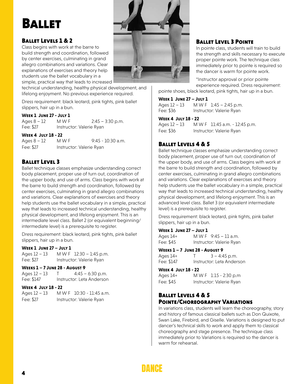# **BALLET**

#### Ballet Levels 1 & 2

Class begins with work at the barre to build strength and coordination, followed by center exercises, culminating in grand allegro combinations and variations. Clear explanations of exercises and theory help students use the ballet vocabulary in a simple, practical way that leads to increased

technical understanding, healthy physical development, and lifelong enjoyment. No previous experience required.

Dress requirement: black leotard, pink tights, pink ballet slippers, hair up in a bun.

#### **Week 1 June 27 - July 1**

Ages  $8 - 12$  M W F 2:45 – 3:30 p.m. Fee: \$27 Instructor: Valerie Ryan

#### **Week 4 July 18 - 22**

Ages 8 – 12 M W F 9:45 - 10:30 a.m. Fee: \$27 Instructor: Valerie Ryan

#### Ballet Level 3

Ballet technique classes emphasize understanding correct body placement, proper use of turn out, coordination of the upper body, and use of arms. Class begins with work at the barre to build strength and coordination, followed by center exercises, culminating in grand allegro combinations and variations. Clear explanations of exercises and theory help students use the ballet vocabulary in a simple, practical way that leads to increased technical understanding, healthy physical development, and lifelong enjoyment. This is an intermediate level class. Ballet 2 (or equivalent beginning/ intermediate level) is a prerequisite to register.

Dress requirement: black leotard, pink tights, pink ballet slippers, hair up in a bun.

#### **Week 1 June 27 – July 1**

Ages 12 – 13 M W F 12:30 – 1:45 p.m. Fee: \$27 Instructor: Valerie Ryan

#### **Weeks 1 – 7 June 28 - August 9**

Ages 12 – 13 T 4:45 – 6:30 p.m. Fee: \$147 Instructor: Leta Anderson

#### **Week 4 July 18 - 22**

| Ages 12 – 13 | M W F 10:30 - 11:45 a.m. |
|--------------|--------------------------|
| Fee: \$27    | Instructor: Valerie Ryan |



#### Ballet Level 3 Pointe

In pointe class, students will train to build the strength and skills necessary to execute proper pointe work. The technique class immediately prior to pointe is required so the dancer is warm for pointe work.

\*Instructor approval or prior pointe experience required. Dress requirement:

pointe shoes, black leotard, pink tights, hair up in a bun.

#### **Week 1 June 27 – July 1** Ages  $12 - 13$  M W F  $1:45 - 2:45$  p.m.

| UÑC? TT – TJ | $IVIVIVI$ $L.HJ - L.HJ$ $U.III.$ |
|--------------|----------------------------------|
| Fee: \$36    | Instructor: Valerie Ryan         |

#### **Week 4 July 18 - 22**

Ages 12 – 13 M W F 11:45 a.m. - 12:45 p.m. Fee: \$36 Instructor: Valerie Ryan

#### Ballet Levels 4 & 5

Ballet technique classes emphasize understanding correct body placement, proper use of turn out, coordination of the upper body, and use of arms. Class begins with work at the barre to build strength and coordination, followed by center exercises, culminating in grand allegro combinations and variations. Clear explanations of exercises and theory help students use the ballet vocabulary in a simple, practical way that leads to increased technical understanding, healthy physical development, and lifelong enjoyment. This is an advanced level class. Ballet 3 (or equivalent intermediate level) is a prerequisite to register.

Dress requirement: black leotard, pink tights, pink ballet slippers, hair up in a bun.

#### **Week 1 June 27 – July 1**

| Ages 14+  | MWF $9:45 - 11$ a.m.     |
|-----------|--------------------------|
| Fee: \$45 | Instructor: Valerie Ryan |

#### **Weeks 1 – 7 June 28 - August 9**

| Ages 14+   | $3 - 4:45$ p.m.           |
|------------|---------------------------|
| Fee: \$147 | Instructor: Leta Anderson |

#### **Week 4 July 18 - 22**

| Ages 14+  | MWF 1:15 - 2:30 p.m      |
|-----------|--------------------------|
| Fee: \$45 | Instructor: Valerie Ryan |

#### Ballet Levels 4 & 5 Pointe/Choreography Variations

In variations class, students will learn the choreography, story and history of famous classical ballets such as Don Quixote, Swan Lake, Firebird, and Giselle. Variations is designed to put dancer's technical skills to work and apply them to classical choreography and stage presence. The technique class immediately prior to Variations is required so the dancer is warm for rehearsal.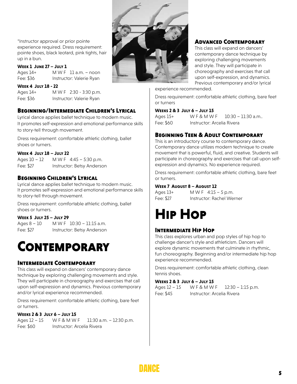\*Instructor approval or prior pointe experience required. Dress requirement: pointe shoes, black leotard, pink tights, hair up in a bun.

#### **Week 1 June 27 – July 1**

Ages 14+ M W F 11 a.m. – noon Fee: \$36 Instructor: Valerie Ryan

**Week 4 July 18 - 22**

Ages 14+ M W F 2:30 - 3:30 p.m. Fee: \$36 Instructor: Valerie Ryan

#### Beginning/Intermediate Children's Lyrical

Lyrical dance applies ballet technique to modern music. It promotes self-expression and emotional performance skills to story-tell through movement.

Dress requirement: comfortable athletic clothing, ballet shoes or turners.

#### **Week 4 July 18 – July 22**

Ages 10 – 12 M W F 4:45 – 5:30 p.m. Fee: \$27 Instructor: Betsy Anderson

#### Beginning Children's Lyrical

Lyrical dance applies ballet technique to modern music. It promotes self-expression and emotional performance skills to story-tell through movement.

Dress requirement: comfortable athletic clothing, ballet shoes or turners.

#### **Week 5 July 25 – July 29**

Ages 8 – 10 M W F 10:30 – 11:15 a.m. Fee: \$27 Instructor: Betsy Anderson

# **CONTEMPORARY**

#### Intermediate Contemporary

This class will expand on dancers' contemporary dance technique by exploring challenging movements and style. They will participate in choreography and exercises that call upon self-expression and dynamics. Previous contemporary and/or lyrical experience recommended.

Dress requirement: comfortable athletic clothing, bare feet or turners.

#### **Weeks 2 & 3 July 6 – July 15**

Ages 12 - 15 W F & M W F 11:30 a.m. - 12:30 p.m. Fee: \$60 Instructor: Arcelia Rivera



#### Advanced Contemporary

This class will expand on dancers' contemporary dance technique by exploring challenging movements and style. They will participate in choreography and exercises that call upon self-expression, and dynamics. Previous contemporary and/or lyrical

experience recommended.

Dress requirement: comfortable athletic clothing, bare feet or turners

#### **Weeks 2 & 3 July 6 – July 15**

Ages 15+ W F & M W F 10:30 – 11:30 a.m.. Fee: \$60 Instructor: Arcelia Rivera

#### Beginning Teen & Adult Contemporary

This is an introductory course to contemporary dance. Contemporary dance utilizes modern technique to create movement that is powerful, fluid, and creative. Students will participate in choreography and exercises that call upon selfexpression and dynamics. No experience required.

Dress requirement: comfortable athletic clothing, bare feet or turners.

#### **Week 7 August 8 – August 12**

Ages 13+ M W F 4:15 – 5 p.m. Fee: \$27 Instructor: Rachel Werner

# Hip Hop

#### Intermediate Hip Hop

This class explores urban and pop styles of hip hop to challenge dancer's style and athleticism. Dancers will explore dynamic movements that culminate in rhythmic, fun choreography. Beginning and/or intermediate hip hop experience recommended.

Dress requirement: comfortable athletic clothing, clean tennis shoes.

#### **Weeks 2 & 3 July 6 – July 15**

Ages 12 – 15 W F & M W F 12:30 – 1:15 p.m. Fee: \$45 Instructor: Arcelia Rivera

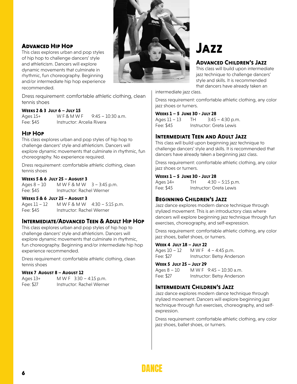#### Advanced Hip Hop

This class explores urban and pop styles of hip hop to challenge dancers' style and athleticism. Dancers will explore dynamic movements that culminate in rhythmic, fun choreography. Beginning and/or intermediate hip hop experience recommended.

Dress requirement: comfortable athletic clothing, clean tennis shoes

#### **Weeks 2 & 3 July 6 – July 15**

Ages 15+ W F & M W F 9:45 – 10:30 a.m. Fee: \$45 Instructor: Arcelia Rivera

#### **Hip Hop**

This class explores urban and pop styles of hip hop to challenge dancers' style and athleticism. Dancers will explore dynamic movements that culminate in rhythmic, fun choreography. No experience required.

Dress requirement: comfortable athletic clothing, clean tennis shoes

#### **Weeks 5 & 6 July 25 – August 3**

Ages 8 – 10 M W F & M W 3 – 3:45 p.m. Fee: \$45 Instructor: Rachel Werner

#### **Weeks 5 & 6 July 25 – August 3**

Ages 11 – 12 M W F & M W 4:30 – 5:15 p.m. Fee: \$45 Instructor: Rachel Werner

#### **Intermediate/Advanced Teen & Adult Hip Hop**

This class explores urban and pop styles of hip hop to challenge dancers' style and athleticism. Dancers will explore dynamic movements that culminate in rhythmic, fun choreography. Beginning and/or intermediate hip hop experience recommended.

Dress requirement: comfortable athletic clothing, clean tennis shoes

#### **Week 7 August 8 – August 12**

| Ages 13+  | M W F $3:30 - 4:15$ p.m.  |
|-----------|---------------------------|
| Fee: \$27 | Instructor: Rachel Werner |



# **Jazz**

#### **Advanced Children's Jazz**

This class will build upon intermediate jazz technique to challenge dancers' style and skills. It is recommended that dancers have already taken an

intermediate jazz class.

Dress requirement: comfortable athletic clothing, any color jazz shoes or turners.

#### **Weeks 1 – 5 June 30 - July 28**

Ages 11 – 13 TH 3:45 – 4:30 p.m. Fee: \$45 Instructor: Greta Lewis

#### **Intermediate Teen and Adult Jazz**

This class will build upon beginning jazz technique to challenge dancers' style and skills. It is recommended that dancers have already taken a beginning jazz class.

Dress requirement: comfortable athletic clothing, any color jazz shoes or turners.

#### **Weeks 1 – 5 June 30 - July 28**

| Ages 14+  | TH. | $4:30 - 5:15$ p.m.      |
|-----------|-----|-------------------------|
| Fee: \$45 |     | Instructor: Greta Lewis |

#### **Beginning Children's Jazz**

Jazz dance explores modern dance technique through stylized movement. This is an introductory class where dancers will explore beginning jazz technique through fun exercises, choreography, and self-expression.

Dress requirement: comfortable athletic clothing, any color jazz shoes, ballet shoes, or turners.

#### **Week 4 July 18 – July 22**

Ages 10 – 12 M W F 4 – 4:45 p.m. Fee: \$27 Instructor: Betsy Anderson

#### **Week 5 July 25 – July 29**

Ages 8 – 10 M W F 9:45 – 10:30 a.m. Fee: \$27 Instructor: Betsy Anderson

#### **Intermediate Children's Jazz**

Jazz dance explores modern dance technique through stylized movement. Dancers will explore beginning jazz technique through fun exercises, choreography, and selfexpression.

Dress requirement: comfortable athletic clothing, any color jazz shoes, ballet shoes, or turners.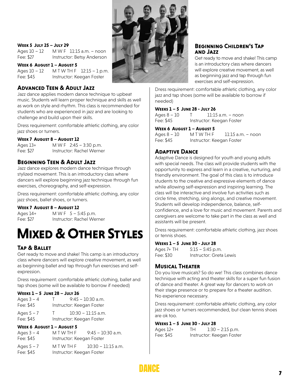

#### **Week 5 July 25 – July 29**

Ages 10 – 12 M W F 11:15 a.m. – noon Fee: \$27 Instructor: Betsy Anderson

#### **Week 6 August 1 – August 5**

Ages 10 – 12 M T W T H F 12:15 – 1 p.m. Fee: \$45 Instructor: Keegan Foster

#### **Advanced Teen & Adult Jazz**

Jazz dance applies modern dance technique to upbeat music. Students will learn proper technique and skills as well as work on style and rhythm. This class is recommended for students who are experienced in jazz and are looking to challenge and build upon their skills.

Dress requirement: comfortable athletic clothing, any color jazz shoes or turners.

#### **Week 7 August 8 – August 12**

Ages 13+ M W F 2:45 – 3:30 p.m. Fee: \$27 Instructor: Rachel Werner

#### **Beginning Teen & Adult Jazz**

Jazz dance explores modern dance technique through stylized movement. This is an introductory class where dancers will explore beginning jazz technique through fun exercises, choreography, and self-expression.

Dress requirement: comfortable athletic clothing, any color jazz shoes, ballet shoes, or turners.

#### **Week 7 August 8 – August 12**

Ages 14+ M W F 5 – 5:45 p.m. Fee: \$27 Instructor: Rachel Werner

# **Mixed & Other Styles**

#### **Tap & Ballet**

Get ready to move and shake! This camp is an introductory class where dancers will explore creative movement, as well as beginning ballet and tap through fun exercises and selfexpression.

Dress requirement: comfortable athletic clothing, ballet and tap shoes (some will be available to borrow if needed)

#### **Weeks 1 – 5 June 28 – July 26**

| Ages $3 - 4$ | - F - | $9:45 - 10:30$ a.m.       |
|--------------|-------|---------------------------|
| Fee: \$45    |       | Instructor: Keegan Foster |
| Ages $5 - 7$ | T.    | $10:30 - 11:15$ a.m.      |
| Fee: \$45    |       | Instructor: Keegan Foster |

#### **Week 6 August 1 – August 5**

| Ages $3 - 4$ | MTWTHF                    | $9:45 - 10:30$ a.m. |
|--------------|---------------------------|---------------------|
| Fee: \$45    | Instructor: Keegan Foster |                     |

| Ages $5 - 7$ | MTWTHF                    | 10:30 – 11:15 a.m. |
|--------------|---------------------------|--------------------|
| Fee: \$45    | Instructor: Keegan Foster |                    |

#### **Beginning Children's Tap and Jazz**

Get ready to move and shake! This camp is an introductory class where dancers will explore creative movement, as well as beginning jazz and tap through fun exercises and self-expression.

Dress requirement: comfortable athletic clothing, any color jazz and tap shoes (some will be available to borrow if needed)

#### **Weeks 1 – 5 June 28 - July 26**

Ages 8 – 10 T 11:15 a.m. – noon Fee: \$45 Instructor: Keegan Foster

#### **Week 6 August 1 – August 5**

| Ages 8 – 10 | MTWTHF                    | 11:15 a.m. – noon |
|-------------|---------------------------|-------------------|
| Fee: \$45   | Instructor: Keegan Foster |                   |

#### **Adaptive Dance**

Adaptive Dance is designed for youth and young adults with special needs. The class will provide students with the opportunity to express and learn in a creative, nurturing, and friendly environment. The goal of this class is to introduce students to the creative and expressive elements of dance while allowing self-expression and inspiring learning. The class will be interactive and involve fun activities such as circle time, stretching, sing alongs, and creative movement. Students will develop independence, balance, selfconfidence, and a love for music and movement. Parents and caregivers are welcome to take part in the class as well and assistants will be present.

Dress requirement: comfortable athletic clothing, jazz shoes or tennis shoes.

#### **Weeks 1 – 5 June 30 - July 28**

| Ages 7+ TH | $5:15 - 5:45$ p.m.      |
|------------|-------------------------|
| Fee: \$30  | Instructor: Greta Lewis |

#### **Musical Theater**

Do you love musicals? So do we! This class combines dance technique with acting and theater skills for a super fun fusion of dance and theater. A great way for dancers to work on their stage presence or to prepare for a theater audition. No experience necessary.

Dress requirement: comfortable athletic clothing, any color jazz shoes or turners recommended, but clean tennis shoes are ok too.

#### **Weeks 1 – 5 June 30 - July 28**

| Ages 12+  | TН | $1:30 - 2:15$ p.m.        |
|-----------|----|---------------------------|
| Fee: \$45 |    | Instructor: Keegan Foster |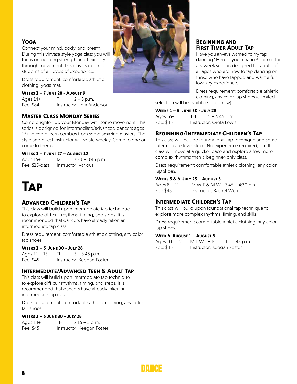#### **Yoga**

Connect your mind, body, and breath. During this vinyasa style yoga class you will focus on building strength and flexibility through movement. This class is open to students of all levels of experience.

Dress requirement: comfortable athletic clothing, yoga mat.

#### **Weeks 1 – 7 June 28 - August 9**

Ages  $14+$  T  $2-3$  p.m. Fee: \$84 Instructor: Leta Anderson

#### **Master Class Monday Series**

Come brighten up your Monday with some movement! This series is designed for intermediate/advanced dancers ages 15+ to come learn combos from some amazing masters. The style and guest instructor will rotate weekly. Come to one or come to them all!

#### **Weeks 1 – 7 June 27 – August 12**

Ages 15+ M 7:30 – 8:45 p.m. Fee: \$15/class Instructor: Various

# **Tap**

#### **Advanced Children's Tap**

This class will build upon intermediate tap technique to explore difficult rhythms, timing, and steps. It is recommended that dancers have already taken an intermediate tap class.

Dress requirement: comfortable athletic clothing, any color tap shoes

#### **Weeks 1 – 5 June 30 - July 28**

Ages  $11 - 13$  TH  $3 - 3:45$  p.m. Fee: \$45 Instructor: Keegan Foster

#### **Intermediate/Advanced Teen & Adult Tap**

This class will build upon intermediate tap technique to explore difficult rhythms, timing, and steps. It is recommended that dancers have already taken an intermediate tap class.

Dress requirement: comfortable athletic clothing, any color tap shoes.

#### **Weeks 1 – 5 June 30 - July 28**

Ages 14+ TH 2:15 – 3 p.m. Fee: \$45 Instructor: Keegan Foster



#### **Beginning and First Timer Adult Tap**

Have you always wanted to try tap dancing? Here is your chance! Join us for a 5-week session designed for adults of all ages who are new to tap dancing or those who have tapped and want a fun, low-key experience.

Dress requirement: comfortable athletic clothing, any color tap shoes (a limited selection will be available to borrow).

**Weeks 1 – 5 June 30 - July 28**

| Ages 16+  | TH | $6 - 6:45$ p.m.         |
|-----------|----|-------------------------|
| Fee: \$45 |    | Instructor: Greta Lewis |

#### **Beginning/Intermediate Children's Tap**

This class will include foundational tap technique and some intermediate level steps. No experience required, but this class will move at a quicker pace and explore a few more complex rhythms than a beginner-only class.

Dress requirement: comfortable athletic clothing, any color tap shoes.

#### **Weeks 5 & 6 July 25 – August 3**

Ages 8 – 11 M W F & M W 3:45 – 4:30 p.m. Fee \$45 Instructor: Rachel Werner

#### **Intermediate Children's Tap**

This class will build upon foundational tap technique to explore more complex rhythms, timing, and skills.

Dress requirement: comfortable athletic clothing, any color tap shoes.

#### **Week 6 August 1 – August 5**

Ages  $10 - 12$  M T W TH F  $1 - 1:45$  p.m. Fee: \$45 Instructor: Keegan Foster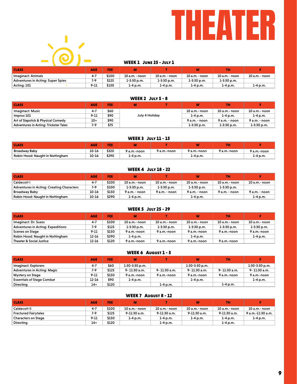



#### WEEK 1 JUNE 25 - JULY 1

| <b>CLASS</b>                      | <b>AGE</b> | FEE   |                |                | W              | тн             |                |
|-----------------------------------|------------|-------|----------------|----------------|----------------|----------------|----------------|
| Imaginact: Animals                |            | \$100 | 10 a.m. - noon | 10 a.m. - noon | 10 a.m. - noon | 10 a.m. - noon | 10 a.m. - noon |
| Adventures in Acting: Super Spies | 7.0        | \$125 | 1-3:30 p.m.    | $1-3:30$ p.m.  | $1-3:30$ p.m.  | $1-3:30$ p.m.  |                |
| Acting: 101                       | $9 - 11$   | \$150 | 1-4 p.m.       | 1-4 p.m.       | 1-4 p.m.       | 1-4 p.m.       | $1-4$ p.m.     |

#### WEEK 2 July 5 - 8

| <b>CLASS</b>                          | <b>AGE</b> | FEE  |                |  |               | <b>TH</b>      |               |
|---------------------------------------|------------|------|----------------|--|---------------|----------------|---------------|
| Imaginact: Music                      | $4 - 7$    | \$60 | July 4 Holiday |  | 10 a.m.- noon | $10a.m.-$ noon | 10 a.m.- noon |
| Improv 101                            | $9 - 11$   | \$90 |                |  | $1 - 4$ p.m.  | $1 - 4$ p.m.   | $1-4 p.m.$    |
| Art of Slapstick & Physical Comedy    | 10+        | \$90 |                |  | 9 a.m. - noon | 9 a.m. - noon  | 9 a.m. - noon |
| Adventures in Acting: Trickster Tales | 7-9        | \$75 |                |  | $1-3:30$ p.m. | $1-3:30$ p.m.  | $1-3:30$ p.m. |

| <b>WEEK 3 JULY 11 - 15</b> |  |  |
|----------------------------|--|--|
|                            |  |  |

| <b>CLASS</b>                     | <b>AGE</b> | . .   | m           |             |             | тн          |             |
|----------------------------------|------------|-------|-------------|-------------|-------------|-------------|-------------|
| <b>Broadway Baby</b>             | 10-16      | \$320 | 9 a.m.-noon | 9 a.m.-noon | 9 a.m.-noon | 9 a.m.-noon | 9 a.m.-noon |
| Robin Hood: Naught in Nottingham | 10-16      | \$290 | 1-4 p.m.    |             | 1-4 p.m.    |             | $1-4 p.m.$  |

#### WEEK 4 July 18 - 22

| <b>CLASS</b>                              | <b>AGE</b> | FEE.  | м             |                | w               | тн                |               |
|-------------------------------------------|------------|-------|---------------|----------------|-----------------|-------------------|---------------|
| Caldecott I                               | $4 - 7$    | \$100 | 10 a.m.- noon | 10 a.m.- noon  | $10 a.m.-$ noon | $10$ a.m.- $noon$ | 10 a.m.- noon |
| Adventures in Acting: Creating Characters | 7-9        | \$100 | $1-3:30$ p.m. | $1-3:30$ p.m.  | $1-3:30$ p.m.   | $1-3:30$ p.m.     |               |
| Broadway Baby                             | 10-16      | \$150 | 9 a.m. - noon | $9a.m. - noon$ | $9a.m. - noon$  | $9a.m.-$ noon     | 9 a.m. - noon |
| Robin Hood: Naught in Nottingham          | 10-16      | \$290 | 1-4 p.m.      |                | $1-4 p.m.$      |                   | $1-4$ p.m.    |

#### Imaginact: Dr. Suess Adventures in Acting: Expeditions Scenes on Stage Robin Hood: Naught in Nottingham Theater & Social Justice CLASS AGE FEE M T W TH T WEEK 5 July 25 - 29 4-7 7-9 9-11 12-16 12-16 \$100 \$125 \$150 \$290 \$120 10 a.m.- noon 1-3:30 p.m. 9 a.m.-noon 1-4 p.m. 9 a.m.-noon 10 a.m.- noon 1-3:30 p.m. 9 a.m.-noon 9 a.m.-noon 10 a.m.- noon 1-3:30 p.m. 9 a.m.-noon 1-4 p.m. 9 a.m.-noon 10 a.m.- noon 1-3:30 p.m. 9 a.m.-noon 9 a.m.-noon 10 a.m.- noon 1-3:30 p.m. 9 a.m.-noon 1-4 p.m.

#### WEEK 6 AUGUST 1 - 5

| <b>CLASS</b>                       | <b>AGE</b> | <b>FEE</b> | M                |              | W                | <b>TH</b>    |                  |
|------------------------------------|------------|------------|------------------|--------------|------------------|--------------|------------------|
| Imaginact: Explorers               | $4 - 7$    | \$60       | $1:30-3:30$ p.m. |              | $1:30-3:30$ p.m. |              | $1:30-3:30$ p.m. |
| <b>Adventures in Acting: Magic</b> | 7-9        | \$125      | 9-11:30 a.m.     | 9-11:30 a.m. | 9-11:30 a.m.     | 9-11:30 a.m. | 9-11:30 a.m.     |
| Mystery on Stage                   | $9 - 11$   | \$150      | 9 a.m.-noon      | 9 a.m.-noon  | 9 a.m.-noon      | 9 a.m.-noon  | 9 a.m.-noon      |
| <b>Essentials of Stage Combat</b>  | 12-16      | \$90       | $1-4$ p.m.       |              | $1 - 4$ p.m.     |              | $1-4 p.m.$       |
| Directing                          | $14+$      | \$120      |                  | $1-4$ p.m.   |                  | $1-4$ p.m.   |                  |

#### WEEK 7 August 8 - 12

| <b>CLASS</b>               | <b>AGE</b> | FEE   | м             |               | w               | TН             |                   |
|----------------------------|------------|-------|---------------|---------------|-----------------|----------------|-------------------|
| <b>Caldecott II</b>        | $4 - 7$    | \$100 | 10 a.m.- noon | 10 a.m.- noon | $10 a.m.-$ noon | $10a.m.-$ noon | 10 a.m.- noon     |
| Fractured Fairytales !     | 7-9        | \$125 | 9-11:30 a.m.  | 9-11:30 a.m.  | 9-11:30 a.m.    | 9-11:30 a.m.   | 9 a.m.-11:30 a.m. |
| <b>Characters on Stage</b> | $9 - 11$   | \$150 | 1-4 p.m.      | 1-4 p.m.      | 1-4 p.m.        | 1-4 p.m.       | 1-4 p.m.          |
| Directing                  | $14+$      | \$120 |               | 1-4 p.m.      |                 | 1-4 p.m.       |                   |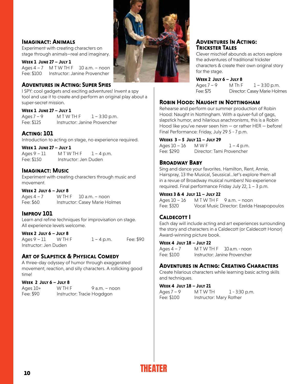#### **Imaginact: Animals**

Experiment with creating characters on stage through animals—real and imaginary.

#### **Week 1 June 27 – July 1**

Ages  $4 - 7$  M T W TH  $F$  10 a.m. – noon Fee: \$100 Instructor: Janine Provencher

#### **Adventures in Acting: Super Spies**

I SPY: cool gadgets and exciting adventures! Invent a spy tool and use it to create and perform an original play about a super-secret mission.

#### **Week 1 June 27 – July 1**

Ages  $7 - 9$  M T W T H F  $1 - 3:30$  p.m. Fee: \$125 Instructor: Janine Provencher

#### **Acting: 101**

Introduction to acting on stage, no experience required.

#### **Week 1 June 27 – July 1**

Ages  $9 - 11$  M T W TH F  $1 - 4$  p.m. Fee: \$150 Instructor: Jen Duden

#### **Imaginact: Music**

Experiment with creating characters through music and movement.

#### **Week 2 July 6 – July 8**

Ages  $4 - 7$  W TH F  $10$  a.m. – noon Fee: \$60 Instructor: Casey Marie Holmes

#### **Improv 101**

Learn and refine techniques for improvisation on stage. All experience levels welcome.

#### **Week 2 July 6 – July 8**

Ages 9 – 11 W TH F 1 – 4 p.m. Fee: \$90 Instructor: Jen Duden

#### **Art of Slapstick & Physical Comedy**

A three-day odyssey of humor through exaggerated movement, reaction, and silly characters. A rollicking good time!

#### **Week 2 July 6 – July 8**

Ages 10+ W TH F 9 a.m. – noon Fee: \$90 Instructor: Tracie Hogdgon



#### **Adventures In Acting: Trickster Tales**

Clever mischief abounds as actors explore the adventures of traditional trickster characters & create their own original story for the stage.

#### **Week 2 July 6 – July 8**

Ages  $7 - 9$  M Th  $F = 1 - 3:30$  p.m. Fee: \$75 Director: Casey Marie Holmes

#### **Robin Hood: Naught in Nottingham**

Rehearse and perform our summer production of Robin Hood: Naught in Nottingham. With a quiver-full of gags, slapstick humor, and hilarious anachronisms, this is a Robin Hood like you've never seen him — or rather HER — before! Final Performance: Friday, July 29 5 - 7 p.m.

#### **Weeks 3 – 5 July 11 – July 29**

Ages  $10 - 16$  M W F  $1 - 4$  p.m. Fee: \$290 Director: Tami Provencher

#### **Broadway Baby**

Sing and dance your favorites. Hamilton, Rent, Annie, Hairspray, 13 the Musical, Seussical…let's explore them all in a revue of Broadway musical numbers! No experience required. Final performance Friday July 22, 1 – 3 p.m.

#### **Weeks 3 & 4 July 11 – July 22**

Ages  $10 - 16$  M T W TH F 9 a.m. - noon Fee: \$320 Vocal Music Director: Ezelda Hasapopoulos

#### **Caldecott I**

Each day will include acting and art experiences surrounding the story and characters in a Caldecott (or Caldecott Honor) Award-winning picture book.

#### **Week 4 July 18 – July 22**

Ages  $4 - 7$  M T W TH F  $10$  a.m. - noon Fee: \$100 Instructor: Janine Provencher

#### **Adventures in Acting: Creating Characters**

Create hilarious characters while learning basic acting skills and techniques.

#### **Week 4 July 18 – July 21**

| Ages 7 – 9 | M T W TH                | $1 - 3:30$ p.m. |
|------------|-------------------------|-----------------|
| Fee: \$100 | Instructor: Mary Rother |                 |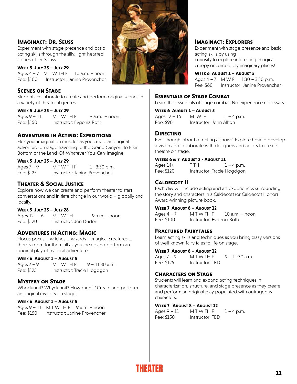#### **Imaginact: Dr. Seuss**

Experiment with stage presence and basic acting skills through the silly, light-hearted stories of Dr. Seuss.

#### **Week 5 July 25 – July 29**

Ages  $4 - 7$  M T W T H F 10 a.m.  $-$  noon Fee: \$100 Instructor: Janine Provencher

#### **Scenes on Stage**

Students collaborate to create and perform original scenes in a variety of theatrical genres.

#### **Week 5 July 25 – July 29**

 $A$ ges  $9 - 11$  M T W T H F  $9$  a.m. – noon Fee: \$150 Instructor: Evgenia Roth

#### **Adventures in Acting: Expeditions**

Flex your imagination muscles as you create an original adventure on stage travelling to the Grand Canyon, to Bikini Bottom or the Land-Of-Whatever-You-Can-Imagine

#### **Week 5 July 25 – July 29**

Ages  $7 - 9$  M T W T H F  $1 - 3:30$  p.m. Fee: \$125 Instructor: Janine Provencher

#### **Theater & Social Justice**

Explore how we can create and perform theater to start conversations and initiate change in our world – globally and locally.

#### **Week 5 July 25 – July 28**

Ages  $12 - 16$  M T W T H 9 a.m. – noon Fee: \$120 Instructor: Jen Duden

#### **Adventures in Acting: Magic**

Hocus pocus … witches … wizards … magical creatures … there's room for them all as you create and perform an original play of magical adventure.

#### **Week 6 August 1 – August 5**

Ages 7 – 9 M T W TH F 9 – 11:30 a.m. Fee: \$125 Instructor: Tracie Hogdgon

#### **Mystery on Stage**

Whodunnit? Whydunnit? Howdunnit? Create and perform an original mystery on stage.

#### **Week 6 August 1 – August 5**

Ages  $9 - 11$  M T W TH F  $9$  a.m. - noon Fee: \$150 Instructor: Janine Provencher



#### **Imaginact: Explorers**

Experiment with stage presence and basic acting skills by using curiosity to explore interesting, magical, creepy or completely imaginary places!

**Week 6 August 1 – August 5** Ages 4 – 7 M W F 1:30 – 3:30 p.m. Fee: \$60 Instructor: Janine Provencher

#### **Essentials of Stage Combat**

Learn the essentials of stage combat. No experience necessary.

**Week 6 August 1 – August 5** Ages  $12 - 16$  M W F  $1 - 4$  p.m. Fee: \$90 Instructor: Jenn Allton

#### **Directing**

Ever thought about directing a show? Explore how to develop a vision and collaborate with designers and actors to create theatre on stage.

#### **Weeks 6 & 7 August 2 - August 11**

Ages  $14+$  T TH  $1-4$  p.m. Fee: \$120 Instructor: Tracie Hogdgon

#### **Caldecott II**

Each day will include acting and art experiences surrounding the story and characters in a Caldecott (or Caldecott Honor) Award-winning picture book.

#### **Week 7 August 8 – August 12**

Ages  $4 - 7$  M T W T H F 10 a.m. – noon Fee: \$100 Instructor: Evgenia Roth

#### **Fractured Fairytales**

Learn acting skills and techniques as you bring crazy versions of well-known fairy tales to life on stage.

#### **Week 7 August 8 – August 12**

Ages 7 – 9 M T W T H F 9 – 11:30 a.m. Fee: \$125 Instructor: TBD

#### **Characters on Stage**

Students will learn and expand acting techniques in characterization, structure, and stage presence as they create and perform an original play populated with outrageous characters.

#### **Week 7 August 8 – August 12**

Fee: \$150 Instructor: TBD

Ages  $9 - 11$  M T W TH F  $1 - 4$  p.m.

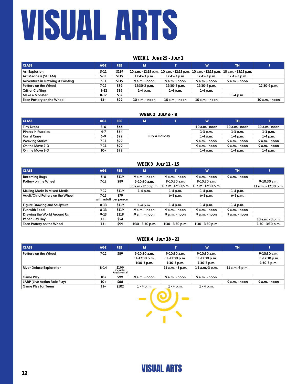# VISUAL ARTS

#### WEEK 1 June 25 - July 1

| <b>CLASS</b>                    | <b>AGE</b> | FEE.  | M              |                                             | W              | <b>TH</b>                                   |                |
|---------------------------------|------------|-------|----------------|---------------------------------------------|----------------|---------------------------------------------|----------------|
| <b>Art Explosion</b>            | $5 - 11$   | \$119 |                | 10 a.m. - 12:15 p.m.   10 a.m. - 12:15 p.m. |                | 10 a.m. - 12:15 p.m.   10 a.m. - 12:15 p.m. |                |
| Art Madness (STEAM)             | $5 - 11$   | \$119 | $12:45-3 p.m.$ | 12:45-3 p.m.                                | 12:45-3 p.m.   | 12:45-3 p.m.                                |                |
| Adventure in Drawing & Painting | 7-11       | \$119 | 9 a.m. - noon  | 9 a.m. - noon                               | 9 a.m. - noon  | 9 a.m. - noon                               |                |
| Pottery on the Wheel            | 7-12       | \$89  | 12:30-2 p.m.   | $12:30-2 p.m.$                              | 12:30-2 p.m.   |                                             | $12:30-2 p.m.$ |
| <b>Critter Crafting</b>         | $8 - 12$   | \$89  | $1-4$ p.m.     | $1-4$ p.m.                                  | $1-4 p.m.$     |                                             |                |
| Make a Monster                  | $8 - 12$   | \$32  |                |                                             |                | $1-4 p.m.$                                  |                |
| Teen Pottery on the Wheel       | $13+$      | \$99  | 10 a.m. - noon | 10 a.m. - noon                              | 10 a.m. - noon |                                             | 10 a.m. - noon |

#### WEEK 2 JULY 6 - 8

| <b>CLASS</b>              | <b>AGE</b> | FEE. | м              |  | W               | <b>TH</b>       |                 |
|---------------------------|------------|------|----------------|--|-----------------|-----------------|-----------------|
| <b>Tiny Drops</b>         | $3 - 6$    | \$66 |                |  | $10 a.m.-$ noon | $10a.m.$ - noon | $10 a.m.-$ noon |
| <b>Pirates in Puddles</b> | $4 - 7$    | \$64 |                |  | $1-3$ p.m.      | $1-3$ p.m.      | $1-3 p.m.$      |
| <b>Costal Craze</b>       | $6 - 9$    | \$99 | July 4 Holiday |  | $1-4$ p.m.      | $1-4$ p.m.      | $1-4 p.m.$      |
| <b>Weaving Stories</b>    | $7 - 11$   | \$99 |                |  | $9a.m.-$ noon   | $9a.m.-$ noon   | 9 a.m. - noon   |
| On the Move 2-D           | 7-11       | \$99 |                |  | $9a.m.-$ noon   | $9a.m.-$ noon   | 9 a.m. - noon   |
| On the Move 3-D           | $10+$      | \$99 |                |  |                 | $1-4 p.m.$      | $1-4 p.m.$      |

#### WEEK 3 July 11 - 15

| <b>CLASS</b>                        | <b>AGE</b>                      | FEE.  | $\mathbf{M}$       |                    | W                  | <b>TH</b>     | F.                   |
|-------------------------------------|---------------------------------|-------|--------------------|--------------------|--------------------|---------------|----------------------|
| <b>Becoming Bugs</b>                | $5 - 8$                         | \$119 | $9a.m. - noon$     | 9 a.m. - noon      | 9 a.m. - noon      | 9 a.m. - noon |                      |
| Pottery on the Wheel                | $7-12$                          | \$89  | $9-10:30$ a.m.     | $9-10:30$ a.m.     | $9-10:30$ a.m.     |               | $9-10:30$ a.m.       |
|                                     |                                 |       | 11 a.m.-12:30 p.m. | 11 a.m.-12:30 p.m. | 11 a.m.-12:30 p.m. |               | 11 a.m. - 12:30 p.m. |
| Making Marks in Mixed Media         | 7-12                            | \$119 | $1-4 p.m.$         | 1-4 p.m.           | $1-4$ p.m.         | $1-4$ p.m.    |                      |
| Adult/Child Pottery on the Wheel    | $7-12$<br>with adult per person | \$79  |                    | $6 - 8 p.m.$       | $6 - 8 p.m.$       | $6 - 8 p.m.$  |                      |
| <b>Figure Drawing and Sculpture</b> | $8 - 13$                        | \$119 | $1-4 p.m.$         | $1-4$ p.m.         | $1-4$ p.m.         | $1-4$ p.m.    |                      |
| <b>Fun with Food</b>                | $8 - 13$                        | \$119 | $9a.m.-$ noon      | 9 a.m. - noon      | 9 a.m. - noon      | $9a.m.-$ noon |                      |
| Drawing the World Around Us         | $9 - 13$                        | \$119 | 9 a.m. - noon      | 9 a.m. - noon      | 9 a.m. - noon      | 9 a.m. - noon |                      |
| Paper Clay Day                      | $12+$                           | \$54  |                    |                    |                    |               | 10 a.m. - 3 p.m.     |
| Teen Pottery on the Wheel           | $13+$                           | \$99  | $1:30 - 3:30$ p.m. | $1:30 - 3:30$ p.m. | $1:30 - 3:30$ p.m. |               | $1:30 - 3:30$ p.m.   |

#### WEEK 4 July 18 - 22

| <b>CLASS</b>                    | <b>AGE</b> | FEE.                            | M                                              |                                                | W                                              | <b>TH</b>      |                                                |
|---------------------------------|------------|---------------------------------|------------------------------------------------|------------------------------------------------|------------------------------------------------|----------------|------------------------------------------------|
| Pottery on the Wheel            | 7-12       | \$89                            | 9-10:30 a.m.<br>11-12:30 p.m.<br>$1:30-3 p.m.$ | 9-10:30 a.m.<br>11-12:30 p.m.<br>$1:30-3 p.m.$ | 9-10:30 a.m.<br>11-12:30 p.m.<br>$1:30-3 p.m.$ |                | 9-10:30 a.m.<br>11-12:30 p.m.<br>$1:30-3 p.m.$ |
| <b>River Deluxe Exploration</b> | $8 - 14$   | $$199$ includes<br>kavak rental |                                                | $11 a.m. - 3 p.m.$                             | $11a.m.-3 p.m.$                                | 11 a.m.-3 p.m. |                                                |
| <b>Game Play</b>                | $10+$      | \$99                            | 9 a.m. - noon                                  | 9 a.m. - noon                                  | 9 a.m. - noon                                  |                |                                                |
| LARP (Live Action Role Play)    | $10+$      | \$66                            |                                                |                                                |                                                | 9 a.m. - noon  | 9 a.m. - noon                                  |
| <b>Game Play for Teens</b>      | $12+$      | \$102                           | $1 - 4 p.m.$                                   | $1 - 4$ p.m.                                   | $1 - 4$ p.m.                                   |                |                                                |

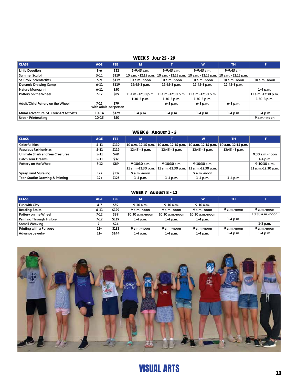#### WEEK 5 July 25 - 29

| <b>CLASS</b>                             | <b>AGE</b> | FEE.                          | м                  |                                             | W                    | <b>TH</b>            |                    |
|------------------------------------------|------------|-------------------------------|--------------------|---------------------------------------------|----------------------|----------------------|--------------------|
| <b>Little Doodlers</b>                   | $3 - 6$    | \$52                          | $9-9:45$ a.m.      | $9-9:45$ a.m.                               | $9-9:45$ a.m.        | $9-9:45$ a.m.        |                    |
| <b>Summer Sculpt</b>                     | $5 - 11$   | \$119                         |                    | 10 a.m. - 12:15 p.m.   10 a.m. - 12:15 p.m. | 10 a.m. - 12:15 p.m. | 10 a.m. - 12:15 p.m. |                    |
| <b>St. Croix Scientartists</b>           | $6 - 9$    | \$119                         | 10 a.m.-noon       | $10$ a.m.-noon                              | $10a.m.-non$         | $10a.m.$ -noon       | 10 a.m.-noon       |
| <b>Dynamic Drawing Camp</b>              | $6 - 11$   | \$119                         | $12:45-3 p.m.$     | $12:45-3 p.m.$                              | 12:45-3 p.m.         | 12:45-3 p.m.         |                    |
| Nature Monoprint                         | $6 - 11$   | \$50                          |                    |                                             |                      |                      | $1-4$ p.m.         |
| Pottery on the Wheel                     | $7-12$     | \$89                          | 11 a.m.-12:30 p.m. | 11 a.m.-12:30 p.m.                          | 11 a.m.-12:30 p.m.   |                      | 11 a.m.-12:30 p.m. |
|                                          |            |                               | $1:30-3 p.m.$      | $1:30-3 p.m.$                               | $1:30-3 p.m.$        |                      | $1:30-3 p.m.$      |
| Adult/Child Pottery on the Wheel         | $7-12$     | \$79<br>with adult per person |                    | $6 - 8 p.m.$                                | $6 - 8 p.m.$         | $6 - 8 p.m.$         |                    |
| Mural Adventure: St. Croix Art Activists | 10-14      | \$129                         | $1-4$ p.m.         | $1-4 p.m.$                                  | $1-4 p.m.$           | $1-4 p.m.$           | $1-4$ p.m.         |
| <b>Urban Printmaking</b>                 | $10 - 15$  | \$50                          |                    |                                             |                      |                      | 9 a.m.- noon       |

#### WEEK 6 August 1 - 5

| <b>CLASS</b>                     | <b>AGE</b> | FEE.  | M                  |                    | W                  | <b>TH</b>          |                    |
|----------------------------------|------------|-------|--------------------|--------------------|--------------------|--------------------|--------------------|
| <b>Colorful Kids</b>             | $5 - 11$   | \$119 | 10 a.m.-12:15 p.m. | 10 a.m.-12:15 p.m. | 10 a.m.-12:15 p.m. | 10 a.m.-12:15 p.m. |                    |
| <b>Fabulous Fashionistas</b>     | $5 - 11$   | \$119 | $12:45 - 3 p.m.$   | $12:45 - 3 p.m.$   | $12:45 - 3 p.m.$   | $12:45 - 3 p.m.$   |                    |
| Ultimate Shark and Sea Creatures | $5 - 11$   | \$49  |                    |                    |                    |                    | 9:30 a.m.-noon     |
| <b>Catch Your Dreams</b>         | $5 - 11$   | \$32  |                    |                    |                    |                    | $1-4 p.m.$         |
| Pottery on the Wheel             | 7-12       | \$89  | $9-10:30$ a.m.     | $9-10:30$ a.m.     | $9-10:30$ a.m.     |                    | $9-10:30$ a.m.     |
|                                  |            |       | 11 a.m.-12:30 p.m. | 11 a.m.-12:30 p.m. | 11 a.m.-12:30 p.m. |                    | 11 a.m.-12:30 p.m. |
| Spray Paint Muraling             | $12+$      | \$132 | 9 a.m.-noon        |                    | 9 a.m.-noon        |                    |                    |
| Teen Studio: Drawing & Painting  | $12+$      | \$125 | $1-4$ p.m.         | $1-4$ p.m.         | $1-4$ p.m.         | $1-4$ p.m.         |                    |

#### WEEK 7 AUGUST 8 - 12

| <b>CLASS</b>                    | <b>AGE</b> | FEE.  | M               |                 | W               | TH          |                 |
|---------------------------------|------------|-------|-----------------|-----------------|-----------------|-------------|-----------------|
| Fun with Clay                   | $4 - 7$    | \$59  | $9-10$ a.m.     | $9-10$ a.m.     | $9-10$ a.m.     |             |                 |
| <b>Beading Basics</b>           | $6 - 11$   | \$129 | 9 a.m.-noon     | 9 a.m.-noon     | 9 a.m.-noon     | 9 a.m.-noon | 9 a.m.-noon     |
| Pottery on the Wheel            | 7-12       | \$89  | 10:30 a.m.-noon | 10:30 a.m.-noon | 10:30 a.m.-noon |             | 10:30 a.m.-noon |
| <b>Painting Through History</b> | 7-12       | \$119 | $1 - 4 p.m.$    | $1-4$ p.m.      | $1-4$ p.m.      | $1-4$ p.m.  |                 |
| Somali Weaving                  | 7+         | \$24  |                 |                 |                 |             | $1-3$ p.m.      |
| Printing with a Purpose         | $11+$      | \$132 | 9 a.m.-noon     | 9 a.m.-noon     | 9 a.m.-noon     | 9 a.m.-noon | 9 a.m.-noon     |
| <b>Advance Jewelry</b>          | $11+$      | \$144 | $1-4 p.m.$      | $1-4$ p.m.      | $1-4$ p.m.      | $1-4$ p.m.  | $1-4 p.m.$      |

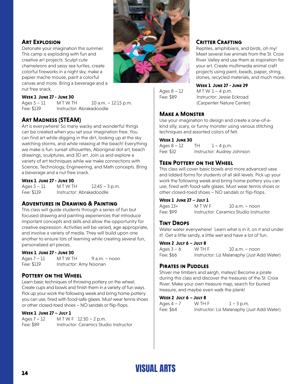

#### **Art Explosion**

Detonate your imagination this summer. This camp is exploding with fun and creative art projects. Sculpt cute chameleons and sassy sea turtles, create colorful fireworks in a night sky, make a papier mache mouse, paint a colorful canvas and more. Bring a beverage and a nut free snack.

#### **Week 1 June 27 - June 30**

Ages 5 – 11 M T W T H 10 a.m. – 12:15 p.m. Fee: \$119 Instructor: Abrakadoodle

#### **Art Madness (STEAM)**

Art is everywhere! So many wacky and wonderful things can be created when you set your imagination free. You can find art while digging in the dirt, looking up at the sky watching storms, and while relaxing at the beach! Everything we make is fun: sunset silhouettes, Aboriginal dot art, beach drawings, sculptures, and 3D art. Join us and explore a variety of art techniques while we make connections with Science, Technology, Engineering, and Math concepts. Bring a beverage and a nut free snack.

#### **Week 1 June 27 - June 30**

Ages 5 – 11 M T W T H 12:45 – 3 p.m. Fee: \$119 Instructor: Abrakadoodle

#### **Adventures in Drawing & Painting**

This class will guide students through a series of fun but focused drawing and painting experiences that introduce important concepts and skills and allow the opportunity for creative expression. Activities will be varied, age appropriate, and involve a variety of media. They will build upon one another to ensure lots of learning while creating several fun, personalized art pieces.

#### **Week 1 June 27 - June 30**

Ages  $7 - 11$  M T W T H  $9$  a.m. – noon Fee: \$119 Instructor: Amy Noonan

#### **Pottery on the Wheel**

Learn basic techniques of throwing pottery on the wheel. Create cups and bowls and finish them in a variety of fun ways. Pick up your work the following week and bring home pottery you can use, fired with food-safe glazes. Must wear tennis shoes or other closed-toed shoes – NO sandals or flip-flops.

#### **Week 1 June 27 – July 1**

Ages 7 – 12 M T W F 12:30 – 2 p.m. Fee: \$89 Instructor: Ceramics Studio Instructor

#### **Critter Crafting**

Reptiles, amphibians, and birds, oh my! Meet several live animals from the St. Croix River Valley and use them as inspiration for your art. Create multimedia animal craft projects using paint, beads, paper, string, stones, recycled materials, and much more.

#### **Week 1 June 27 - June 29**

Ages  $8 - 12$  M T W  $1 - 4$  p.m. Fee: \$89 Instructor: Jessie Eckroad (Carpenter Nature Center)

#### **Make a Monster**

Use your imagination to design and create a one-of-akind silly, scary, or funny monster using various stitching techniques and assorted colors of felt.

#### **Week 1 June 30**

Ages  $8 - 12$  TH  $1 - 4$  p.m. Fee: \$32 Instructor: Audrey Johnson

#### **Teen Pottery on the Wheel**

This class will cover basic bowls and more advanced vase and lidded forms for students of all skill levels. Pick up your work the following week and bring home pottery you can use, fired with food-safe glazes. Must wear tennis shoes or other closed-toed shoes – NO sandals or flip-flops.

#### **Week 1 June 27 – July 1**

Ages  $13+$  M T W F  $10$  a.m. – noon Fee: \$99 Instructor: Ceramics Studio Instructor

#### **Tiny Drops**

Water water everywhere! Learn what is in it, on it and under it! Get a little sandy, a little wet and have a lot of fun.

#### **Week 2 July 6 – July 8**

| Ages $3 - 6$ | W TH F | $10$ a.m. – noon                           |
|--------------|--------|--------------------------------------------|
| Fee: \$66    |        | Instructor: Liz Malanaphy (Just Add Water) |

#### **Pirates in Puddles**

Shiver me timbers and aargh, mateys! Become a pirate during this class and discover the treasures of the St. Croix River. Make your own treasure map, search for buried treasure, and maybe even walk the plank!

#### **Week 2 July 6 – July 8**

| Ages 4 – 7 | W TH F | $1 - 3$ p.m.                               |
|------------|--------|--------------------------------------------|
| Fee: \$64  |        | Instructor: Liz Malanaphy (Just Add Water) |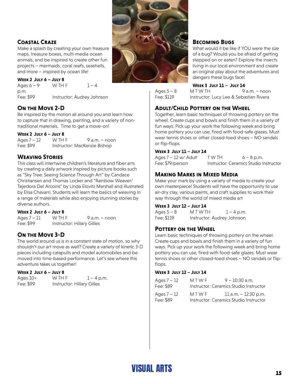#### **Coastal Craze**

Make a splash by creating your own treasure maps, treasure boxes, multi-media ocean animals, and be inspired to create other fun projects – mermaids, coral reefs, seashells, and more – inspired by ocean life!

#### **Week 2 July 6 – July 8**

Ages  $6 - 9$  W TH F  $1 - 4$ p.m. Fee: \$99 Instructor: Audrey Johnson

#### **On the Move 2-D**

Be inspired by the motion all around you and learn how to capture that in drawing, painting, and a variety of nontraditional materials. Time to get a move-on!

#### **Week 2 July 6 – July 8**

| Ages $7 - 12$ | W TH F | $9a.m. - noon$               |
|---------------|--------|------------------------------|
| Fee: \$99     |        | Instructor: MacKenzie Bishop |

#### **Weaving Stories**

This class will intertwine children's literature and fiber arts by creating a daily artwork inspired by picture books such as "Sky Tree: Seeing Science Through Art" by Candace Christiansen and Thomas Locker and "Rainbow Weaver/ Tejedora Del Arcoiris" by Linda Elovitz Marshall and illustrated by Elisa Chavarri. Students will learn the basics of weaving in a range of materials while also enjoying stunning stories by diverse authors.

#### **Week 2 July 6 – July 8**

Ages  $7 - 11$  W TH F 9 a.m. – noon Fee: \$99 Instructor: Hillary Gilles

#### **On the Move 3-D**

The world around us is in a constant state of motion, so why shouldn't our art move as well? Create a variety of kinetic 3-D pieces including catapults and model automobiles and be moved into time-based performance. Let's see where this adventure takes us together!

#### **Week 2 July 6 – July 8**

| Ages 10+  | W TH F                     | $1 - 4$ p.m. |
|-----------|----------------------------|--------------|
| Fee: \$99 | Instructor: Hillary Gilles |              |



#### **Becoming Bugs**

What would it be like if YOU were the size of a bug? Would you be afraid of getting stepped on or eaten? Explore the insects living in our local environment and create an original play about the adventures and dangers these bugs face!

#### **Week 3 July 11 – July 14**

Ages  $5 - 8$  M T W T H 9 a.m. – noon

Fee: \$119 Instructor: Lucy Lee & Sebastian Rivera

#### **Adult/Child Pottery on the Wheel**

Together, learn basic techniques of throwing pottery on the wheel. Create cups and bowls and finish them in a variety of fun ways. Pick up your work the following week and bring home pottery you can use, fired with food-safe glazes. Must wear tennis shoes or other closed-toed shoes – NO sandals or flip-flops.

#### **Week 3 July 11 – July 14**

Ages  $7 - 12$  w/ Adult T W TH 6 – 8 p.m. Fee: \$79/person Instructor: Ceramics Studio Instructor

#### **Making Marks in Mixed Media**

Make your mark by using a variety of media to create your own masterpiece! Students will have the opportunity to use air-dry clay, various paints, and craft supplies to work their way through the world of mixed media art

#### **Week 3 July 12 – July 14**

| Ages 5 – 8 | M T W TH                   | $1 - 4$ p.m. |
|------------|----------------------------|--------------|
| Fee: \$119 | Instructor: Audrey Johnson |              |

#### **Pottery on the Wheel**

Learn basic techniques of throwing pottery on the wheel. Create cups and bowls and finish them in a variety of fun ways. Pick up your work the following week and bring home pottery you can use, fired with food-safe glazes. Must wear tennis shoes or other closed-toed shoes – NO sandals or flipflops.

#### **Week 3 July 12 – July 14**

| Ages $7 - 12$ | MTWF | $9 - 10:30$ a.m.                       |
|---------------|------|----------------------------------------|
| Fee: \$89     |      | Instructor: Ceramics Studio Instructor |
| Ages $7 - 12$ | MTWF | 11 a.m. $-$ 12:30 p.m.                 |
| Fee: \$89     |      | Instructor: Ceramics Studio Instructor |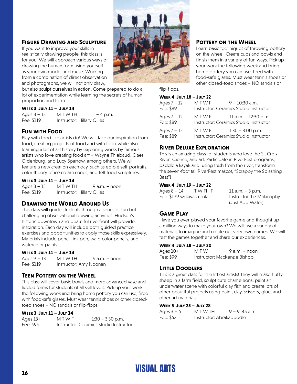#### **Figure Drawing and Sculpture**

If you want to improve your skills in realistically drawing people, this class is for you. We will approach various ways of drawing the human form using yourself as your own model and muse. Working from a combination of direct observation and photographs, we will not only draw,



but also sculpt ourselves in action. Come prepared to do a lot of experimentation while learning the secrets of human proportion and form.

#### **Week 3 July 11 – July 14**

Ages  $8 - 13$  M T W T H  $1 - 4$  p.m. Fee: \$119 Instructor: Hillary Gilles

#### **Fun with Food**

Play with food like artists do! We will take our inspiration from food, creating projects of food and with food while also learning a bit of art history by exploring works by famous artists who love creating food art – Wayne Thiebaud, Claes Oldenburg, and Lucy Sparrow, among others. We will feature a new creation each day, such as edible self-portraits, color theory of ice cream cones, and felt food sculptures.

#### **Week 3 July 11 – July 14**

 $Ages 8 - 13$   $M T W TH$   $9 a.m. - noon$ Fee: \$119 Instructor: Hillary Gilles

#### **Drawing the World Around Us**

This class will guide students through a series of fun but challenging observational drawing activities. Hudson's historic downtown and beautiful riverfront will provide inspiration. Each day will include both guided practice exercises and opportunities to apply those skills expressively. Materials include pencil, ink pen, watercolor pencils, and watercolor paints.

#### **Week 3 July 11 – July 14**

 $Ages 9 - 13$   $M T W TH$   $9 a.m. - noon$ Fee: \$119 Instructor: Amy Noonan

#### **Teen Pottery on the Wheel**

This class will cover basic bowls and more advanced vase and lidded forms for students of all skill levels. Pick up your work the following week and bring home pottery you can use, fired with food-safe glazes. Must wear tennis shoes or other closedtoed shoes – NO sandals or flip-flops.

#### **Week 3 July 11 – July 14**

| Ages $13+$ | MTWF | $1:30 - 3:30$ p.m.                     |
|------------|------|----------------------------------------|
| Fee: \$99  |      | Instructor: Ceramics Studio Instructor |

#### **POTTERY ON THE WHEEL**

Learn basic techniques of throwing pottery on the wheel. Create cups and bowls and finish them in a variety of fun ways. Pick up your work the following week and bring home pottery you can use, fired with food-safe glazes. Must wear tennis shoes or other closed-toed shoes – NO sandals or

#### flip-flops.

#### **Week 4 July 18 – July 22**

| Ages $7 - 12$<br>Fee: \$89 | MTWF | $9 - 10:30$ a.m.<br>Instructor: Ceramics Studio Instructor     |
|----------------------------|------|----------------------------------------------------------------|
| Ages $7 - 12$<br>Fee: \$89 | MTWF | 11 a.m. - 12:30 p.m.<br>Instructor: Ceramics Studio Instructor |
| Ages $7 - 12$<br>Fee: \$89 | MTWF | $1:30 - 3:00$ p.m.<br>Instructor: Ceramics Studio Instructor   |

#### **River Deluxe Exploration**

This is an amazing class for students who love the St. Croix River, science, and art. Participate in RiverFest programs, paddle a kayak and, using trash from the river, transform the seven-foot tall RiverFest mascot, "Scrappy the Splashing Bass"!

#### **Week 4 July 19 – July 22**

| Ages 8 – 14               | T W TH F | $11$ a.m. $-3$ p.m.       |
|---------------------------|----------|---------------------------|
| Fee: \$199 w/kayak rental |          | Instructor: Liz Malanaphy |
|                           |          | (Just Add Water)          |

#### **Game Play**

Have you ever played your favorite game and thought up a million ways to make your own? We will use a variety of materials to imagine and create our very own games. We will test the games together and share our experiences.

#### **Week 4 July 18 – July 20**

| Ages 10+  | MTW                          | $9$ a.m. $-$ noon |
|-----------|------------------------------|-------------------|
| Fee: \$99 | Instructor: MacKenzie Bishop |                   |

#### **Little Doodlers**

This is a great class for the littlest artists! They will make fluffy sheep in a farm field, sculpt cute chameleons, paint an underwater scene with colorful clay fish and create lots of other beautiful projects using paint, clay, scissors, glue, and other art materials.

#### **Week 5 July 25 – July 28**

| Ages 3 – 6 | M T W TH                 | $9 - 9:45$ a.m. |
|------------|--------------------------|-----------------|
| Fee: \$52  | Instructor: Abrakadoodle |                 |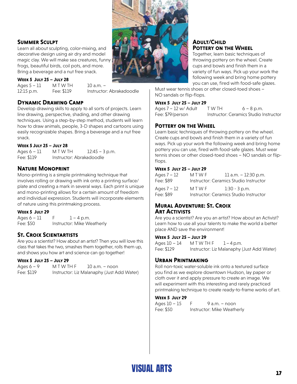

Learn all about sculpting, color-mixing, and decorative design using air dry and model magic clay. We will make sea creatures, funny frogs, beautiful birds, coil pots, and more. Bring a beverage and a nut free snack.

#### **Week 5 July 25 – July 28**

Ages 5 – 11 M T W T H 10 a.m. – 12:15 p.m. Fee: \$119 Instructor: Abrakadoodle

#### **Dynamic Drawing Camp**

Develop drawing skills to apply to all sorts of projects. Learn line drawing, perspective, shading, and other drawing techniques. Using a step-by-step method, students will learn how to draw animals, people, 3-D shapes and cartoons using easily recognizable shapes. Bring a beverage and a nut free snack.

#### **Week 5 July 25 – July 28**

Ages  $6 - 11$  M T W T H  $12:45 - 3$  p.m. Fee: \$119 Instructor: Abrakadoodle

#### **Nature Monoprint**

Mono-printing is a simple printmaking technique that involves rolling or drawing with ink onto a printing surface/ plate and creating a mark in several ways. Each print is unique and mono-printing allows for a certain amount of freedom and individual expression. Students will incorporate elements of nature using this printmaking process.

#### **Week 5 July 29**

Ages  $6 - 11$  F  $1 - 4$  p.m. Fee: \$50 Instructor: Mike Weatherly

#### **St. Croix Scientartists**

Are you a scientist? How about an artist? Then you will love this class that takes the two, smashes them together, rolls them up, and shows you how art and science can go together!

#### **Week 5 July 25 – July 29**

Ages  $6 - 9$  M T W TH  $F = 10$  a.m. – noon Fee: \$119 Instructor: Liz Malanaphy (Just Add Water)



#### **Adult/Child Pottery on the Wheel**

Together, learn basic techniques of throwing pottery on the wheel. Create cups and bowls and finish them in a variety of fun ways. Pick up your work the following week and bring home pottery you can use, fired with food-safe glazes.

Must wear tennis shoes or other closed-toed shoes – NO sandals or flip-flops.

#### **Week 5 July 25 – July 29**

| Ages 7 – 12 w/ Adult | T W TH | $6 - 8$ p.m.                           |
|----------------------|--------|----------------------------------------|
| Fee: \$79/person     |        | Instructor: Ceramics Studio Instructor |

#### **Pottery on the Wheel**

Learn basic techniques of throwing pottery on the wheel. Create cups and bowls and finish them in a variety of fun ways. Pick up your work the following week and bring home pottery you can use, fired with food-safe glazes. Must wear tennis shoes or other closed-toed shoes – NO sandals or flipflops.

#### **Week 5 July 25 – July 29**

| Ages 7 – 12<br>Fee: \$89 | MTWF | 11 a.m. $-$ 12:30 p.m.<br>Instructor: Ceramics Studio Instructor |
|--------------------------|------|------------------------------------------------------------------|
| Ages 7 – 12<br>Fee: \$89 | MTWF | $1:30 - 3$ p.m.<br>Instructor: Ceramics Studio Instructor        |

#### **Mural Adventure: St. Croix Art Activists**

Are you a scientist? Are you an artist? How about an Activist? Learn how to use all your talents to make the world a better place AND save the environment!

#### **Week 5 July 25 – July 29**

Ages  $10 - 14$  M T W T H F  $1 - 4$  p.m. Fee: \$129 Instructor: Liz Malanaphy (Just Add Water)

#### **Urban Printmaking**

Roll non-toxic water-soluble ink onto a textured surface you find as we explore downtown Hudson, lay paper or cloth over it and apply pressure to create an image. We will experiment with this interesting and rarely practiced printmaking technique to create ready-to-frame works of art.

#### **Week 5 July 29**

| Ages 10 – 15 | 9 a.m. – noon              |
|--------------|----------------------------|
| Fee: \$50    | Instructor: Mike Weatherly |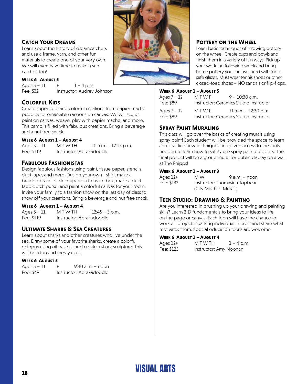

#### **Catch Your Dreams**

Learn about the history of dreamcatchers and use a frame, yarn, and other fun materials to create one of your very own. We will even have time to make a sun catcher, too!

#### **Week 6 August 5**

Ages  $5 - 11$  F  $1 - 4$  p.m. Fee: \$32 Instructor: Audrey Johnson

#### **Colorful Kids**

Create super cool and colorful creations from papier mache puppies to remarkable racoons on canvas. We will sculpt, paint on canvas, weave, play with papier mache, and more. This camp is filled with fabulous creations. Bring a beverage and a nut free snack.

#### **Week 6 August 1 – August 4**

Ages 5 – 11 M T W T H 10 a.m. – 12:15 p.m. Fee: \$119 Instructor: Abrakadoodle

#### **Fabulous Fashionistas**

Design fabulous fashions using paint, tissue paper, stencils, duct tape, and more. Design your own t-shirt, make a braided bracelet, decoupage a treasure box, make a duct tape clutch purse, and paint a colorful canvas for your room. Invite your family to a fashion show on the last day of class to show off your creations. Bring a beverage and nut free snack.

#### **Week 6 August 1 – August 4**

Ages 5 – 11 M T W T H 12:45 – 3 p.m. Fee: \$119 Instructor: Abrakadoodle

#### **Ultimate Sharks & Sea Creatures**

Learn about sharks and other creatures who live under the sea. Draw some of your favorite sharks, create a colorful octopus using oil pastels, and create a shark sculpture. This will be a fun and messy class!

#### **Week 6 August 5**

| Ages $5 - 11$ | F | $9:30$ a.m. – noon       |
|---------------|---|--------------------------|
| Fee: \$49     |   | Instructor: Abrakadoodle |

#### **POTTERY ON THE WHEEL**

Learn basic techniques of throwing pottery on the wheel. Create cups and bowls and finish them in a variety of fun ways. Pick up your work the following week and bring home pottery you can use, fired with foodsafe glazes. Must wear tennis shoes or other closed-toed shoes – NO sandals or flip-flops.

#### **Week 6 August 1 – August 5**

| Ages $7 - 12$              | MTWF                                   | $9 - 10:30$ a.m.                                                 |
|----------------------------|----------------------------------------|------------------------------------------------------------------|
| Fee: \$89                  | Instructor: Ceramics Studio Instructor |                                                                  |
| Ages $7 - 12$<br>Fee: \$89 | MTWF                                   | 11 a.m. $-$ 12:30 p.m.<br>Instructor: Ceramics Studio Instructor |

#### **Spray Paint Muraling**

This class will go over the basics of creating murals using spray paint! Each student will be provided the space to learn and practice new techniques and given access to the tools needed to learn how to safely use spray paint outdoors. The final project will be a group mural for public display on a wall at The Phipps!

#### **Week 6 August 1 – August 3**

| Ages 12+   | M W                    | $9a.m. - noon$                |
|------------|------------------------|-------------------------------|
| Fee: \$132 |                        | Instructor: Thomasina Topbear |
|            | (City Mischief Murals) |                               |

#### **Teen Studio: Drawing & Painting**

Are you interested in brushing up your drawing and painting skills? Learn 2-D fundamentals to bring your ideas to life on the page or canvas. Each teen will have the chance to work on projects sparking individual interest and share what motivates them. Special education teens are welcome

#### **Week 6 August 1 – August 4**

| Ages 12+   | M T W TH               | $1 - 4$ p.m. |
|------------|------------------------|--------------|
| Fee: \$125 | Instructor: Amy Noonan |              |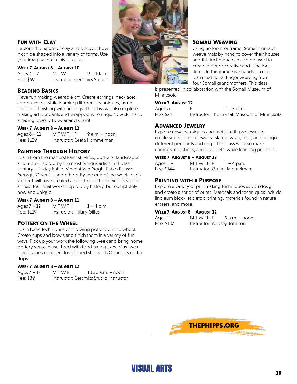

#### **Fun with Clay**

Explore the nature of clay and discover how it can be shaped into a variety of forms. Use your imagination in this fun class!

#### **Week 7 August 8 – August 10**

Ages  $4 - 7$  M T W 9 – 10a.m. Fee: \$59 Instructor: Ceramics Studio

#### **Beading Basics**

Have fun making wearable art! Create earrings, necklaces, and bracelets while learning different techniques, using tools and finishing with findings. This class will also explore making art pendants and wrapped wire rings. New skills and amazing jewelry to wear and share!

#### **Week 7 August 8 – August 12**

 $Ages 6 - 11$   $M T W T H F 9 a.m. - noon$ Fee: \$129 Instructor: Greta Hammelman

#### **Painting Through History**

Learn from the masters! Paint still-lifes, portraits, landscapes and more inspired by the most famous artists in the last century – Friday Kahlo, Vincent Van Gogh, Pablo Picasso, Georgia O'Keeffe and others. By the end of the week, each student will have created a sketchbook filled with ideas and at least four final works inspired by history, but completely new and unique!

#### **Week 7 August 8 – August 11**

Ages  $7 - 12$  M T W T H  $1 - 4$  p.m. Fee: \$119 Instructor: Hillary Gilles

#### **POTTERY ON THE WHEEL**

Learn basic techniques of throwing pottery on the wheel. Create cups and bowls and finish them in a variety of fun ways. Pick up your work the following week and bring home pottery you can use, fired with food-safe glazes. Must wear tennis shoes or other closed-toed shoes – NO sandals or flipflops.

#### **Week 7 August 8 – August 12**

Ages 7 – 12 M T W F 10:30 a.m. – noon Fee: \$89 Instructor: Ceramics Studio Instructor

#### **Somali Weaving**

Using no loom or frame, Somali nomads weave mats by hand to cover their houses and this technique can also be used to create other decorative and functional items. In this immersive hands-on class, learn traditional finger weaving from four Somali grandmothers. This class

is presented in collaboration with the Somali Museum of Minnesota.

#### **Week 7 August 12**

Ages  $7+$  F  $1-3 \text{ p.m.}$ Fee: \$24 Instructor: The Somali Museum of Minnesota

#### **Advanced Jewelry**

Explore new techniques and metalsmith processes to create sophisticated jewelry. Stamp, wrap, fuse, and design different pendants and rings. This class will also make earrings, necklaces, and bracelets, while learning pro skills.

#### **Week 7 August 8 – August 12**

| Ages 11+   | MTWTHF                      | $1 - 4$ p.m. |
|------------|-----------------------------|--------------|
| Fee: \$144 | Instructor: Greta Hammelman |              |

#### **Printing with a Purpose**

Explore a variety of printmaking techniques as you design and create a series of prints. Materials and techniques include linoleum block, tabletop printing, materials found in nature, erasers, and more!

#### **Week 7 August 8 – August 12**

| Ages 11+   | MTWTHF                     | 9 a.m. – noon. |
|------------|----------------------------|----------------|
| Fee: \$132 | Instructor: Audrey Johnson |                |

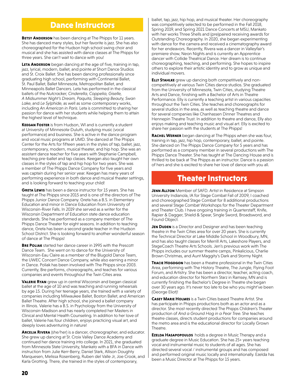### Dance Instructors

**BETSY ANDERSON** has been dancing at The Phipps for 11 years. She has danced many styles, but her favorite is jazz. She has also choreographed for the Hudson high school swing choir and musical and she has assisted with dance classes at The Phipps for three years. She can't wait to dance with you!

**LETA ANDERSON** began dancing at the age of five, training in tap, jazz, lyrical, modern, ballet, and pointe at Short Dance Studios and St. Croix Ballet. She has been dancing professionally since graduating high school, performing with Continental Ballet, St. Paul Ballet, Ballet Minnesota, Metropolitan Ballet, and Minneapolis Ballet Dancers. Leta has performed in the classical ballets of the *Nutcracker, Cinderella, Coppelia, Giselle, A Midsummer Night's Dream, Paquita, Sleeping Beauty, Swan Lake*, and *Le Sylphide*, as well as some contemporary works, including *An American in Paris*. Leta is committed to sharing her passion for dance with her students while helping them to attain the highest level of technique.

**KEEGAN FOSTER** is from Hudson, WI and is currently a student at University of Minnesota-Duluth, studying music (vocal performance) and business. She is active in the dance program and vocal music programs at UMD. She danced at The Phipps Center for the Arts for fifteen years in the styles of tap, ballet, jazz, contemporary, modern, musical theater, and hip hop. She was an assistant dance teacher for five years with Stephanie Campbell, teaching pre-ballet and tap classes. Keegan also taught her own classes in the styles of tap and hip hop for two years. She was a member of The Phipps Dance Company for five years and was captain during her senior year. Keegan has many years of performing experience in both dance and musical theater settings, and is looking forward to teaching your child!

**GRETA LEWIS** has been a dance instructor for 15 years. She has taught at The Phipps since 2015 and is one of the directors of The Phipps Junior Dance Company. Greta has a B.S. in Elementary Education and minor in Dance Education from University of Wisconsin-River Falls. In 2019 she served as a writer for the Wisconsin Department of Education state dance education standards. She has performed as a company member of The Phipps Dance Theater for eight seasons. In addition to teaching dance, Greta has been a second grade teacher in the Hudson School District. She is looking forward to another wonderful season of dance at The Phipps!

**Bre Poliak** started her dance career in 1995 with the Prescott Dance Team. She went on to dance for the University of Wisconsin-Eau Claire as a member of the Blugold Dance Team, the UWEC Concert Dance Company, while also earning a minor in Dance. Poliak has been involved with The Phipps since 2003. Currently, Bre performs, choreographs, and teaches for various companies and events throughout the Twin Cities area.

**VALERIE RYAN** grew up in central Wisconsin and began classical ballet at the age of 10 and was teaching and running rehearsals by age 15. During her teenage years, she trained with a variety of companies including Milwaukee Ballet, Boston Ballet, and American Ballet Theatre. After high school, she joined a ballet company in Illinois. Valerie has a B.S. in Psychology from the University of Wisconsin-Madison and has nearly completed her Masters in Clinical and Mental Health Counseling. In addition to her love of ballet, Valerie has four children, enjoys practicing visual art, and deeply loves adventuring in nature!

ARCELIA RIVERA (she/her) is a dancer, choreographer, and educator. She grew up dancing at St. Croix Valley Dance Academy and continued her dance training into college. In 2021, she graduated from Minnesota State University, Mankato with a BFA in Dance with instruction from Julie Kerr-Berry, Daniel Stark, Allison Doughty Marquesen, Melissa Rosenberg, Ruben del Valle Jr, Joe Crook, and Karla Grotting. There, she trained in the styles of contemporary,

ballet, tap, jazz, hip hop, and musical theater. Her choreography was competitively selected to be performed in the Fall 2018, Spring 2019, and Spring 2021 Dance Concerts at MSU, Mankato with her works Three Shells and (pre)paired receiving awards for Outstanding Choreography. In 2020, she began experimenting with dance for the camera and received a cinematography award for her endeavors. Recently, Rivera was a dancer in Valleyfair's premiere show, Neon Nights and is currently an Apprentice dancer with Collide Theatrical Dance. Her dream is to continue choreographing, teaching, and performing. She hopes to inspire others to explore their artistic identity and to grow as unique and individual movers.

**ELLY STAHLKE** grew up dancing both competitively and noncompetitively at various Twin Cities dance studios. She graduated from the University of Minnesota, Twin Cities, studying Theatre Arts and Dance, finishing with a Bachelor of Arts in Theatre Performance. Elly is currently a teaching artist in various capacities throughout the Twin Cities. She teaches and choreographs for several studios in the area, as well as teaching theatre and dance for several companies like Chanhassen Dinner Theatres and Hennepin Theatre Trust. In addition to theatre and dance, Elly also enjoys making and teaching music and visual art. Elly is excited to share her passion with the students at The Phipps!

**Rachel Werner** began dancing at The Phipps when she was four, training in tap, jazz, hip hop, contemporary, ballet, and pointe. She danced on The Phipps Dance Company for 5 years and has performed as a company member in several productions with The Phipps Dance Theater. She has taught at The Dancing House and is thrilled to be back at The Phipps as an instructor. Dance is a passion of hers and she is excited to share her love of dance with you all.

### Theater Instructors

**JENN ALLTON** Member of SAFD. Artist in Residence at Simpson University Indianola, IA for Stage Combat Fall of 2009, I coached and choreographed Stage Combat for 8 additional productions and several Stage Combat Workshops for the Theater Department and Theater Club. I have ongoing training in Quarterstaff, Knife, Rapier & Dagger, Shield & Spear, Single Sword, Broadsword, and Found Object.

**JEN DUDEN** is a Director and Designer and has been teaching theatre in the Twin Cities area for over 20 years. She is currently the Technical Director at Lake Middle School in Woodbury, MN, and has also taught classes for Merrill Arts, Lakeshore Players, and StageCoach Theatre Arts Schools. Jen's previous work with The Phipps includes our summer theatre camps, Pinkalicious, Charlie Brown Christmas, and Aunt Maggity's Dark and Stormy Night.

**TRACIE HOGDGON** has been a theatre professional in the Twin Cities Area, performing with The History Theatre, The Jungle, Flying Foot Forum, and Artistry. She has been a director, teacher, acting coach, and education director for Northern Starz in Ramsey, MN and is currently finishing the Bachelor's Degree in Theatre she began over 30 years ago. It's never too late to be who you might've been (George Eliot)!

**Casey Marie Holmes** is a Twin Cities based Theatre Artist. She has participate in Phipps productions both as an actor and as a director. She most recently directed The Phipps Children's Theater production of *And a Ground Hog in a Pear Tree*. She teaches theatre classes, directs student productions for companies around the metro area and is the educational director for Locally Grown Theatre.

**Ezelda Hasapopoulos** holds a degree in Music Therapy and a graduate degree in Music Education. She has 25+ years teaching vocal and instrumental music to students of all ages. She has directed several vocal / instrumental groups and has composed and performed original music locally and internationally. Ezelda has been a Music Director at The Phipps for 15 years.